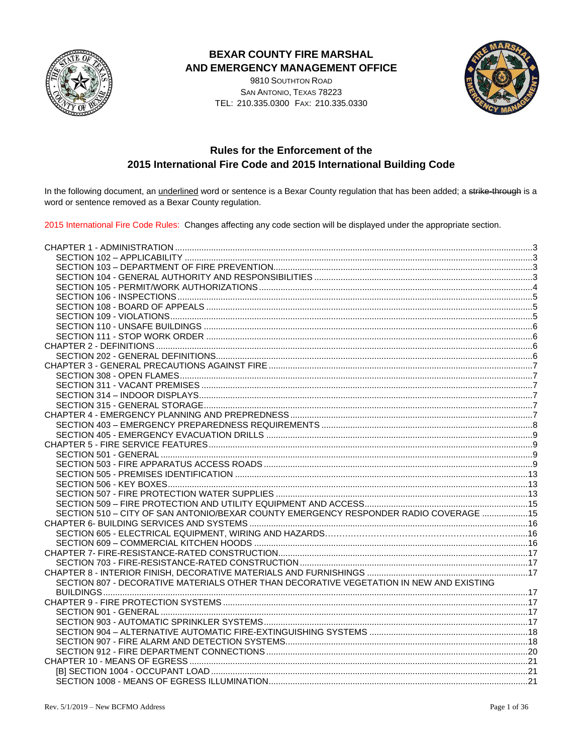

### **BEXAR COUNTY FIRE MARSHAL** AND EMERGENCY MANAGEMENT OFFICE

9810 SOUTHTON ROAD SAN ANTONIO, TEXAS 78223 TEL: 210.335.0300 FAX: 210.335.0330



# **Rules for the Enforcement of the** 2015 International Fire Code and 2015 International Building Code

In the following document, an *underlined* word or sentence is a Bexar County regulation that has been added; a strike-through is a word or sentence removed as a Bexar County regulation.

2015 International Fire Code Rules: Changes affecting any code section will be displayed under the appropriate section.

| SECTION 510 - CITY OF SAN ANTONIO/BEXAR COUNTY EMERGENCY RESPONDER RADIO COVERAGE  15   |  |
|-----------------------------------------------------------------------------------------|--|
|                                                                                         |  |
|                                                                                         |  |
|                                                                                         |  |
|                                                                                         |  |
|                                                                                         |  |
|                                                                                         |  |
| SECTION 807 - DECORATIVE MATERIALS OTHER THAN DECORATIVE VEGETATION IN NEW AND EXISTING |  |
|                                                                                         |  |
|                                                                                         |  |
|                                                                                         |  |
|                                                                                         |  |
|                                                                                         |  |
|                                                                                         |  |
|                                                                                         |  |
|                                                                                         |  |
|                                                                                         |  |
|                                                                                         |  |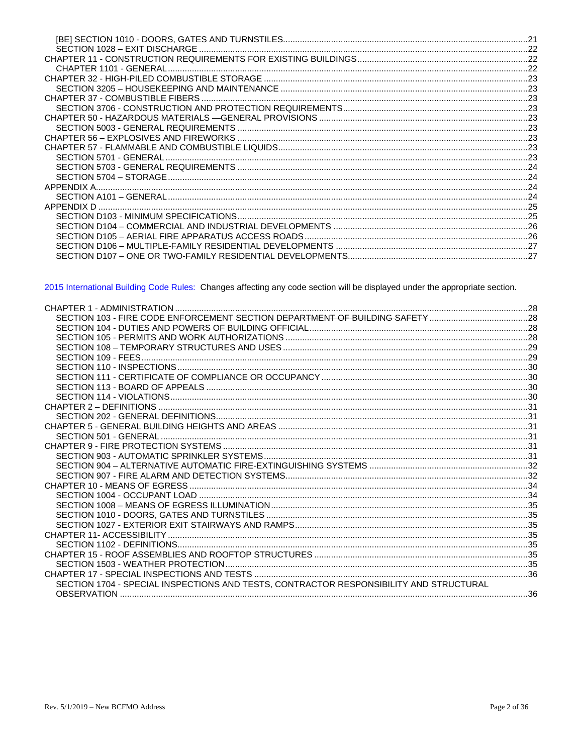| CHAPTER 50 - HAZARDOUS MATERIALS —GENERAL PROVISIONS …………………………………………………………………………23 |  |
|-------------------------------------------------------------------------------------|--|
|                                                                                     |  |
|                                                                                     |  |
|                                                                                     |  |
|                                                                                     |  |
|                                                                                     |  |
|                                                                                     |  |
|                                                                                     |  |
|                                                                                     |  |
|                                                                                     |  |
|                                                                                     |  |
|                                                                                     |  |
|                                                                                     |  |
| SECTION D106 - MULTIPLE-FAMILY RESIDENTIAL DEVELOPMENTS …………………………………………………………………27 |  |
|                                                                                     |  |
|                                                                                     |  |

2015 International Building Code Rules: Changes affecting any code section will be displayed under the appropriate section.

| SECTION 1704 - SPECIAL INSPECTIONS AND TESTS, CONTRACTOR RESPONSIBILITY AND STRUCTURAL |  |
|----------------------------------------------------------------------------------------|--|
|                                                                                        |  |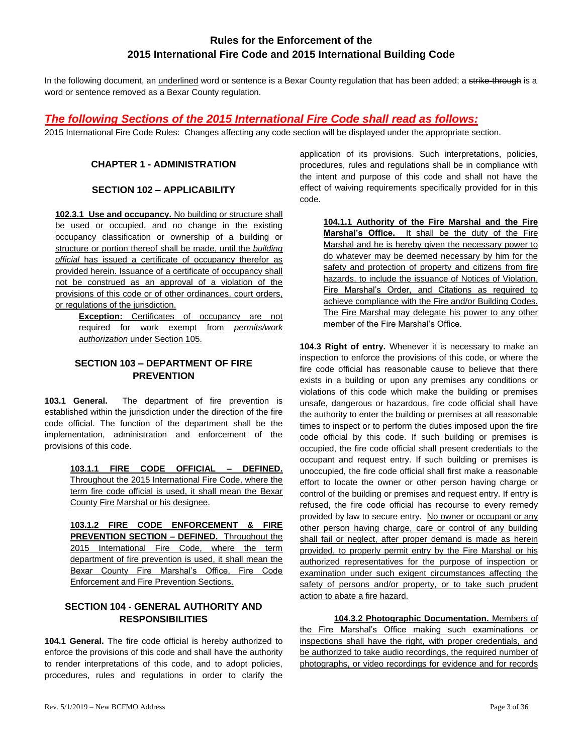# **Rules for the Enforcement of the 2015 International Fire Code and 2015 International Building Code**

In the following document, an underlined word or sentence is a Bexar County regulation that has been added; a strike-through is a word or sentence removed as a Bexar County regulation.

### *The following Sections of the 2015 International Fire Code shall read as follows:*

<span id="page-2-0"></span>2015 International Fire Code Rules: Changes affecting any code section will be displayed under the appropriate section.

### **CHAPTER 1 - ADMINISTRATION**

### **SECTION 102 – APPLICABILITY**

<span id="page-2-1"></span>**102.3.1 Use and occupancy.** No building or structure shall be used or occupied, and no change in the existing occupancy classification or ownership of a building or structure or portion thereof shall be made, until the *building official* has issued a certificate of occupancy therefor as provided herein. Issuance of a certificate of occupancy shall not be construed as an approval of a violation of the provisions of this code or of other ordinances, court orders, or regulations of the jurisdiction.

**Exception:** Certificates of occupancy are not required for work exempt from *permits/work authorization* under Section 105.

#### <span id="page-2-2"></span>**SECTION 103 – DEPARTMENT OF FIRE PREVENTION**

**103.1 General.** The department of fire prevention is established within the jurisdiction under the direction of the fire code official. The function of the department shall be the implementation, administration and enforcement of the provisions of this code.

> **103.1.1 FIRE CODE OFFICIAL – DEFINED.**  Throughout the 2015 International Fire Code, where the term fire code official is used, it shall mean the Bexar County Fire Marshal or his designee.

> **103.1.2 FIRE CODE ENFORCEMENT & FIRE PREVENTION SECTION – DEFINED.** Throughout the 2015 International Fire Code, where the term department of fire prevention is used, it shall mean the Bexar County Fire Marshal's Office, Fire Code Enforcement and Fire Prevention Sections.

### <span id="page-2-3"></span>**SECTION 104 - GENERAL AUTHORITY AND RESPONSIBILITIES**

**104.1 General.** The fire code official is hereby authorized to enforce the provisions of this code and shall have the authority to render interpretations of this code, and to adopt policies, procedures, rules and regulations in order to clarify the application of its provisions. Such interpretations, policies, procedures, rules and regulations shall be in compliance with the intent and purpose of this code and shall not have the effect of waiving requirements specifically provided for in this code.

**104.1.1 Authority of the Fire Marshal and the Fire Marshal's Office.** It shall be the duty of the Fire Marshal and he is hereby given the necessary power to do whatever may be deemed necessary by him for the safety and protection of property and citizens from fire hazards, to include the issuance of Notices of Violation, Fire Marshal's Order, and Citations as required to achieve compliance with the Fire and/or Building Codes. The Fire Marshal may delegate his power to any other member of the Fire Marshal's Office.

**104.3 Right of entry.** Whenever it is necessary to make an inspection to enforce the provisions of this code, or where the fire code official has reasonable cause to believe that there exists in a building or upon any premises any conditions or violations of this code which make the building or premises unsafe, dangerous or hazardous, fire code official shall have the authority to enter the building or premises at all reasonable times to inspect or to perform the duties imposed upon the fire code official by this code. If such building or premises is occupied, the fire code official shall present credentials to the occupant and request entry. If such building or premises is unoccupied, the fire code official shall first make a reasonable effort to locate the owner or other person having charge or control of the building or premises and request entry. If entry is refused, the fire code official has recourse to every remedy provided by law to secure entry. No owner or occupant or any other person having charge, care or control of any building shall fail or neglect, after proper demand is made as herein provided, to properly permit entry by the Fire Marshal or his authorized representatives for the purpose of inspection or examination under such exigent circumstances affecting the safety of persons and/or property, or to take such prudent action to abate a fire hazard.

**104.3.2 Photographic Documentation.** Members of the Fire Marshal's Office making such examinations or inspections shall have the right, with proper credentials, and be authorized to take audio recordings, the required number of photographs, or video recordings for evidence and for records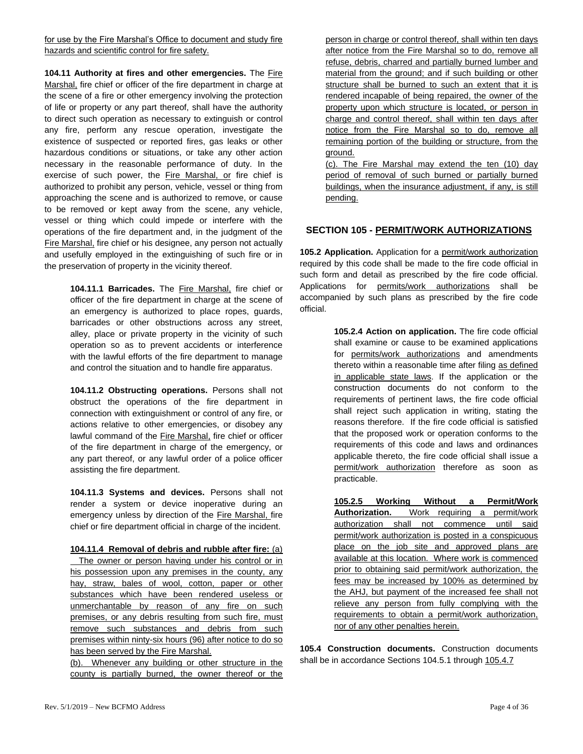for use by the Fire Marshal's Office to document and study fire hazards and scientific control for fire safety.

**104.11 Authority at fires and other emergencies.** The Fire Marshal, fire chief or officer of the fire department in charge at the scene of a fire or other emergency involving the protection of life or property or any part thereof, shall have the authority to direct such operation as necessary to extinguish or control any fire, perform any rescue operation, investigate the existence of suspected or reported fires, gas leaks or other hazardous conditions or situations, or take any other action necessary in the reasonable performance of duty. In the exercise of such power, the Fire Marshal, or fire chief is authorized to prohibit any person, vehicle, vessel or thing from approaching the scene and is authorized to remove, or cause to be removed or kept away from the scene, any vehicle, vessel or thing which could impede or interfere with the operations of the fire department and, in the judgment of the Fire Marshal, fire chief or his designee, any person not actually and usefully employed in the extinguishing of such fire or in the preservation of property in the vicinity thereof.

> **104.11.1 Barricades.** The Fire Marshal, fire chief or officer of the fire department in charge at the scene of an emergency is authorized to place ropes, guards, barricades or other obstructions across any street, alley, place or private property in the vicinity of such operation so as to prevent accidents or interference with the lawful efforts of the fire department to manage and control the situation and to handle fire apparatus.

> **104.11.2 Obstructing operations.** Persons shall not obstruct the operations of the fire department in connection with extinguishment or control of any fire, or actions relative to other emergencies, or disobey any lawful command of the Fire Marshal, fire chief or officer of the fire department in charge of the emergency, or any part thereof, or any lawful order of a police officer assisting the fire department.

> **104.11.3 Systems and devices.** Persons shall not render a system or device inoperative during an emergency unless by direction of the Fire Marshal, fire chief or fire department official in charge of the incident.

> **104.11.4 Removal of debris and rubble after fire:** (a) The owner or person having under his control or in his possession upon any premises in the county, any hay, straw, bales of wool, cotton, paper or other substances which have been rendered useless or unmerchantable by reason of any fire on such premises, or any debris resulting from such fire, must remove such substances and debris from such premises within ninty-six hours (96) after notice to do so has been served by the Fire Marshal.

> (b). Whenever any building or other structure in the county is partially burned, the owner thereof or the

person in charge or control thereof, shall within ten days after notice from the Fire Marshal so to do, remove all refuse, debris, charred and partially burned lumber and material from the ground; and if such building or other structure shall be burned to such an extent that it is rendered incapable of being repaired, the owner of the property upon which structure is located, or person in charge and control thereof, shall within ten days after notice from the Fire Marshal so to do, remove all remaining portion of the building or structure, from the ground.

(c). The Fire Marshal may extend the ten (10) day period of removal of such burned or partially burned buildings, when the insurance adjustment, if any, is still pending.

#### <span id="page-3-0"></span>**SECTION 105 - PERMIT/WORK AUTHORIZATIONS**

**105.2 Application.** Application for a permit/work authorization required by this code shall be made to the fire code official in such form and detail as prescribed by the fire code official. Applications for permits/work authorizations shall be accompanied by such plans as prescribed by the fire code official.

> **105.2.4 Action on application.** The fire code official shall examine or cause to be examined applications for permits/work authorizations and amendments thereto within a reasonable time after filing as defined in applicable state laws. If the application or the construction documents do not conform to the requirements of pertinent laws, the fire code official shall reject such application in writing, stating the reasons therefore. If the fire code official is satisfied that the proposed work or operation conforms to the requirements of this code and laws and ordinances applicable thereto, the fire code official shall issue a permit/work authorization therefore as soon as practicable.

> **105.2.5 Working Without a Permit/Work Authorization.** Work requiring a permit/work authorization shall not commence until said permit/work authorization is posted in a conspicuous place on the job site and approved plans are available at this location. Where work is commenced prior to obtaining said permit/work authorization, the fees may be increased by 100% as determined by the AHJ, but payment of the increased fee shall not relieve any person from fully complying with the requirements to obtain a permit/work authorization, nor of any other penalties herein.

**105.4 Construction documents.** Construction documents shall be in accordance Sections 104.5.1 through 105.4.7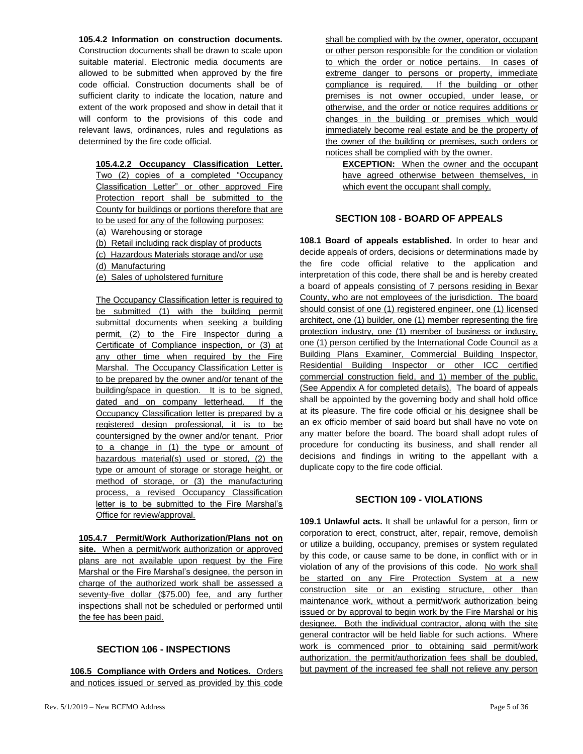**105.4.2 Information on construction documents.**  Construction documents shall be drawn to scale upon suitable material. Electronic media documents are allowed to be submitted when approved by the fire code official. Construction documents shall be of sufficient clarity to indicate the location, nature and extent of the work proposed and show in detail that it will conform to the provisions of this code and relevant laws, ordinances, rules and regulations as determined by the fire code official.

**105.4.2.2 Occupancy Classification Letter.**  Two (2) copies of a completed "Occupancy Classification Letter" or other approved Fire Protection report shall be submitted to the County for buildings or portions therefore that are to be used for any of the following purposes: (a) Warehousing or storage

(b) Retail including rack display of products

(c) Hazardous Materials storage and/or use

(d) Manufacturing

(e) Sales of upholstered furniture

The Occupancy Classification letter is required to be submitted (1) with the building permit submittal documents when seeking a building permit, (2) to the Fire Inspector during a Certificate of Compliance inspection, or (3) at any other time when required by the Fire Marshal. The Occupancy Classification Letter is to be prepared by the owner and/or tenant of the building/space in question. It is to be signed, dated and on company letterhead. If the Occupancy Classification letter is prepared by a registered design professional, it is to be countersigned by the owner and/or tenant. Prior to a change in (1) the type or amount of hazardous material(s) used or stored, (2) the type or amount of storage or storage height, or method of storage, or (3) the manufacturing process, a revised Occupancy Classification letter is to be submitted to the Fire Marshal's Office for review/approval.

**105.4.7 Permit/Work Authorization/Plans not on site.** When a permit/work authorization or approved plans are not available upon request by the Fire Marshal or the Fire Marshal's designee, the person in charge of the authorized work shall be assessed a seventy-five dollar (\$75.00) fee, and any further inspections shall not be scheduled or performed until the fee has been paid.

### **SECTION 106 - INSPECTIONS**

<span id="page-4-0"></span>**106.5 Compliance with Orders and Notices.** Orders and notices issued or served as provided by this code shall be complied with by the owner, operator, occupant or other person responsible for the condition or violation to which the order or notice pertains. In cases of extreme danger to persons or property, immediate compliance is required. If the building or other premises is not owner occupied, under lease, or otherwise, and the order or notice requires additions or changes in the building or premises which would immediately become real estate and be the property of the owner of the building or premises, such orders or notices shall be complied with by the owner.

**EXCEPTION:** When the owner and the occupant have agreed otherwise between themselves, in which event the occupant shall comply.

#### **SECTION 108 - BOARD OF APPEALS**

<span id="page-4-1"></span>**108.1 Board of appeals established.** In order to hear and decide appeals of orders, decisions or determinations made by the fire code official relative to the application and interpretation of this code, there shall be and is hereby created a board of appeals consisting of 7 persons residing in Bexar County, who are not employees of the jurisdiction. The board should consist of one (1) registered engineer, one (1) licensed architect, one (1) builder, one (1) member representing the fire protection industry, one (1) member of business or industry, one (1) person certified by the International Code Council as a Building Plans Examiner, Commercial Building Inspector, Residential Building Inspector or other ICC certified commercial construction field, and 1) member of the public. (See Appendix A for completed details). The board of appeals shall be appointed by the governing body and shall hold office at its pleasure. The fire code official or his designee shall be an ex officio member of said board but shall have no vote on any matter before the board. The board shall adopt rules of procedure for conducting its business, and shall render all decisions and findings in writing to the appellant with a duplicate copy to the fire code official.

#### **SECTION 109 - VIOLATIONS**

<span id="page-4-2"></span>**109.1 Unlawful acts.** It shall be unlawful for a person, firm or corporation to erect, construct, alter, repair, remove, demolish or utilize a building, occupancy, premises or system regulated by this code, or cause same to be done, in conflict with or in violation of any of the provisions of this code. No work shall be started on any Fire Protection System at a new construction site or an existing structure, other than maintenance work, without a permit/work authorization being issued or by approval to begin work by the Fire Marshal or his designee. Both the individual contractor, along with the site general contractor will be held liable for such actions. Where work is commenced prior to obtaining said permit/work authorization, the permit/authorization fees shall be doubled, but payment of the increased fee shall not relieve any person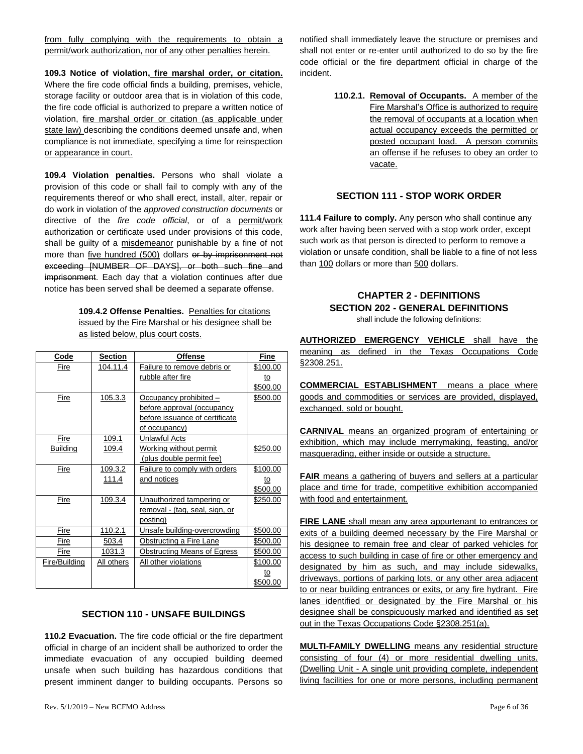from fully complying with the requirements to obtain a permit/work authorization, nor of any other penalties herein.

**109.3 Notice of violation, fire marshal order, or citation.**  Where the fire code official finds a building, premises, vehicle, storage facility or outdoor area that is in violation of this code, the fire code official is authorized to prepare a written notice of violation, fire marshal order or citation (as applicable under state law) describing the conditions deemed unsafe and, when compliance is not immediate, specifying a time for reinspection or appearance in court.

**109.4 Violation penalties.** Persons who shall violate a provision of this code or shall fail to comply with any of the requirements thereof or who shall erect, install, alter, repair or do work in violation of the *approved construction documents* or directive of the *fire code official*, or of a permit/work authorization or certificate used under provisions of this code, shall be guilty of a misdemeanor punishable by a fine of not more than five hundred (500) dollars or by imprisonment not exceeding [NUMBER OF DAYS], or both such fine and imprisonment. Each day that a violation continues after due notice has been served shall be deemed a separate offense.

> **109.4.2 Offense Penalties.** Penalties for citations issued by the Fire Marshal or his designee shall be as listed below, plus court costs.

| Code            | <b>Section</b> | <b>Offense</b>                       | Fine     |
|-----------------|----------------|--------------------------------------|----------|
| Fire            | 104.11.4       | Failure to remove debris or          | \$100.00 |
|                 |                | rubble after fire                    | to       |
|                 |                |                                      | \$500.00 |
| Fire            | 105.3.3        | Occupancy prohibited -               | \$500.00 |
|                 |                | before approval (occupancy           |          |
|                 |                | before issuance of certificate       |          |
|                 |                | of occupancy)                        |          |
| Fire            | 109.1          | Unlawful Acts                        |          |
| <b>Building</b> | 109.4          | Working without permit               | \$250.00 |
|                 |                | (plus double permit fee)             |          |
| Fire            | 109.3.2        | <b>Failure to comply with orders</b> | \$100.00 |
|                 | 111.4          | and notices                          | to       |
|                 |                |                                      | \$500.00 |
| Fire            | 109.3.4        | Unauthorized tampering or            | \$250.00 |
|                 |                | removal - (tag, seal, sign, or       |          |
|                 |                | posting)                             |          |
| Fire            | 110.2.1        | Unsafe building-overcrowding         | \$500.00 |
| Fire            | 503.4          | Obstructing a Fire Lane              | \$500.00 |
| Fire            | 1031.3         | Obstructing Means of Egress          | \$500.00 |
| Fire/Building   | All others     | All other violations                 | \$100.00 |
|                 |                |                                      | to       |
|                 |                |                                      | \$500.00 |

### **SECTION 110 - UNSAFE BUILDINGS**

<span id="page-5-0"></span>**110.2 Evacuation.** The fire code official or the fire department official in charge of an incident shall be authorized to order the immediate evacuation of any occupied building deemed unsafe when such building has hazardous conditions that present imminent danger to building occupants. Persons so

notified shall immediately leave the structure or premises and shall not enter or re-enter until authorized to do so by the fire code official or the fire department official in charge of the incident.

> **110.2.1. Removal of Occupants.** A member of the Fire Marshal's Office is authorized to require the removal of occupants at a location when actual occupancy exceeds the permitted or posted occupant load. A person commits an offense if he refuses to obey an order to vacate.

#### **SECTION 111 - STOP WORK ORDER**

<span id="page-5-1"></span>**111.4 Failure to comply.** Any person who shall continue any work after having been served with a stop work order, except such work as that person is directed to perform to remove a violation or unsafe condition, shall be liable to a fine of not less than 100 dollars or more than 500 dollars.

# <span id="page-5-2"></span>**CHAPTER 2 - DEFINITIONS SECTION 202 - GENERAL DEFINITIONS**

shall include the following definitions:

<span id="page-5-3"></span>**AUTHORIZED EMERGENCY VEHICLE** shall have the meaning as defined in the Texas Occupations Code §2308.251.

**COMMERCIAL ESTABLISHMENT** means a place where goods and commodities or services are provided, displayed, exchanged, sold or bought.

**CARNIVAL** means an organized program of entertaining or exhibition, which may include merrymaking, feasting, and/or masquerading, either inside or outside a structure.

**FAIR** means a gathering of buyers and sellers at a particular place and time for trade, competitive exhibition accompanied with food and entertainment.

**FIRE LANE** shall mean any area appurtenant to entrances or exits of a building deemed necessary by the Fire Marshal or his designee to remain free and clear of parked vehicles for access to such building in case of fire or other emergency and designated by him as such, and may include sidewalks, driveways, portions of parking lots, or any other area adjacent to or near building entrances or exits, or any fire hydrant. Fire lanes identified or designated by the Fire Marshal or his designee shall be conspicuously marked and identified as set out in the Texas Occupations Code §2308.251(a).

**MULTI-FAMILY DWELLING** means any residential structure consisting of four (4) or more residential dwelling units. (Dwelling Unit - A single unit providing complete, independent living facilities for one or more persons, including permanent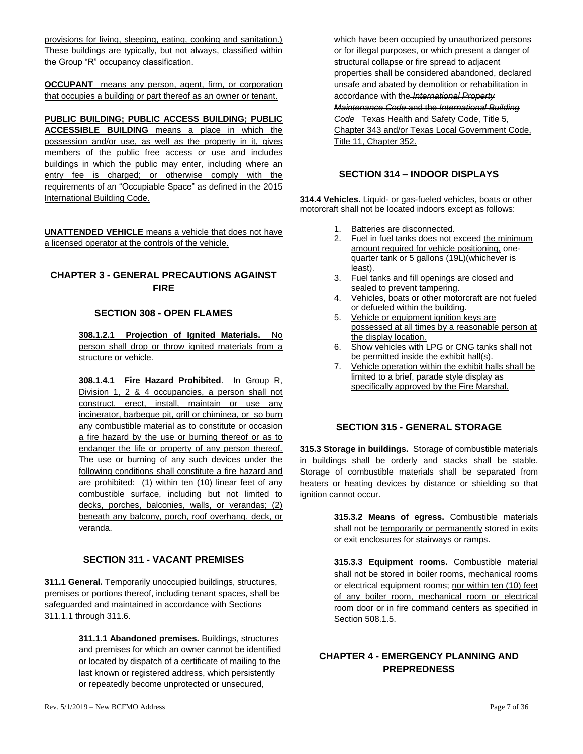provisions for living, sleeping, eating, cooking and sanitation.) These buildings are typically, but not always, classified within the Group "R" occupancy classification.

**OCCUPANT** means any person, agent, firm, or corporation that occupies a building or part thereof as an owner or tenant.

**PUBLIC BUILDING; PUBLIC ACCESS BUILDING; PUBLIC ACCESSIBLE BUILDING** means a place in which the possession and/or use, as well as the property in it, gives members of the public free access or use and includes buildings in which the public may enter, including where an entry fee is charged; or otherwise comply with the requirements of an "Occupiable Space" as defined in the 2015 International Building Code.

**UNATTENDED VEHICLE** means a vehicle that does not have a licensed operator at the controls of the vehicle.

### <span id="page-6-1"></span><span id="page-6-0"></span>**CHAPTER 3 - GENERAL PRECAUTIONS AGAINST FIRE**

#### **SECTION 308 - OPEN FLAMES**

**308.1.2.1 Projection of Ignited Materials.** No person shall drop or throw ignited materials from a structure or vehicle.

**308.1.4.1 Fire Hazard Prohibited**. In Group R, Division 1, 2 & 4 occupancies, a person shall not construct, erect, install, maintain or use any incinerator, barbeque pit, grill or chiminea, or so burn any combustible material as to constitute or occasion a fire hazard by the use or burning thereof or as to endanger the life or property of any person thereof. The use or burning of any such devices under the following conditions shall constitute a fire hazard and are prohibited: (1) within ten (10) linear feet of any combustible surface, including but not limited to decks, porches, balconies, walls, or verandas; (2) beneath any balcony, porch, roof overhang, deck, or veranda.

### **SECTION 311 - VACANT PREMISES**

<span id="page-6-2"></span>**311.1 General.** Temporarily unoccupied buildings, structures, premises or portions thereof, including tenant spaces, shall be safeguarded and maintained in accordance with Sections 311.1.1 through 311.6.

> **311.1.1 Abandoned premises.** Buildings, structures and premises for which an owner cannot be identified or located by dispatch of a certificate of mailing to the last known or registered address, which persistently or repeatedly become unprotected or unsecured,

which have been occupied by unauthorized persons or for illegal purposes, or which present a danger of structural collapse or fire spread to adjacent properties shall be considered abandoned, declared unsafe and abated by demolition or rehabilitation in accordance with the *International Property Maintenance Code* and the *International Building Code* Texas Health and Safety Code, Title 5, Chapter 343 and/or Texas Local Government Code, Title 11, Chapter 352.

#### **SECTION 314 – INDOOR DISPLAYS**

<span id="page-6-3"></span>**314.4 Vehicles.** Liquid- or gas-fueled vehicles, boats or other motorcraft shall not be located indoors except as follows:

- 1. Batteries are disconnected.
- 2. Fuel in fuel tanks does not exceed the minimum amount required for vehicle positioning, onequarter tank or 5 gallons (19L)(whichever is least).
- 3. Fuel tanks and fill openings are closed and sealed to prevent tampering.
- 4. Vehicles, boats or other motorcraft are not fueled or defueled within the building.
- 5. Vehicle or equipment ignition keys are possessed at all times by a reasonable person at the display location.
- 6. Show vehicles with LPG or CNG tanks shall not be permitted inside the exhibit hall(s).
- 7. Vehicle operation within the exhibit halls shall be limited to a brief, parade style display as specifically approved by the Fire Marshal.

#### **SECTION 315 - GENERAL STORAGE**

<span id="page-6-4"></span>**315.3 Storage in buildings.** Storage of combustible materials in buildings shall be orderly and stacks shall be stable. Storage of combustible materials shall be separated from heaters or heating devices by distance or shielding so that ignition cannot occur.

> **315.3.2 Means of egress.** Combustible materials shall not be temporarily or permanently stored in exits or exit enclosures for stairways or ramps.

> **315.3.3 Equipment rooms.** Combustible material shall not be stored in boiler rooms, mechanical rooms or electrical equipment rooms; nor within ten (10) feet of any boiler room, mechanical room or electrical room door or in fire command centers as specified in Section 508.1.5.

### <span id="page-6-5"></span>**CHAPTER 4 - EMERGENCY PLANNING AND PREPREDNESS**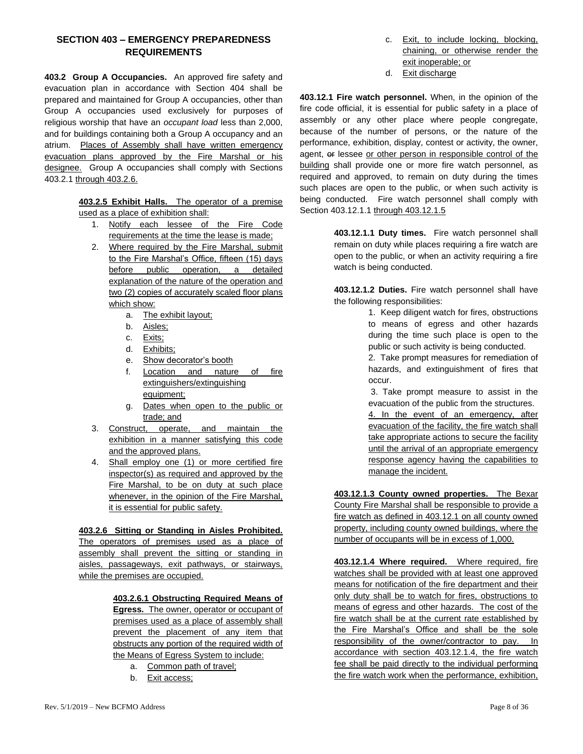### <span id="page-7-0"></span>**SECTION 403 – EMERGENCY PREPAREDNESS REQUIREMENTS**

**403.2 Group A Occupancies.** An approved fire safety and evacuation plan in accordance with Section 404 shall be prepared and maintained for Group A occupancies, other than Group A occupancies used exclusively for purposes of religious worship that have an *occupant load* less than 2,000, and for buildings containing both a Group A occupancy and an atrium. Places of Assembly shall have written emergency evacuation plans approved by the Fire Marshal or his designee. Group A occupancies shall comply with Sections 403.2.1 through 403.2.6.

> **403.2.5 Exhibit Halls.** The operator of a premise used as a place of exhibition shall:

- 1. Notify each lessee of the Fire Code requirements at the time the lease is made;
- 2. Where required by the Fire Marshal, submit to the Fire Marshal's Office, fifteen (15) days before public operation, a detailed explanation of the nature of the operation and two (2) copies of accurately scaled floor plans which show:
	- a. The exhibit layout;
	- b. Aisles;
	- c. Exits;
	- d. Exhibits;
	- e. Show decorator's booth
	- f. Location and nature of fire extinguishers/extinguishing equipment;
	- g. Dates when open to the public or trade; and
- 3. Construct, operate, and maintain the exhibition in a manner satisfying this code and the approved plans.
- 4. Shall employ one (1) or more certified fire inspector(s) as required and approved by the Fire Marshal, to be on duty at such place whenever, in the opinion of the Fire Marshal, it is essential for public safety.

**403.2.6 Sitting or Standing in Aisles Prohibited.**  The operators of premises used as a place of assembly shall prevent the sitting or standing in aisles, passageways, exit pathways, or stairways, while the premises are occupied.

> **403.2.6.1 Obstructing Required Means of Egress.** The owner, operator or occupant of premises used as a place of assembly shall prevent the placement of any item that obstructs any portion of the required width of the Means of Egress System to include:

- a. Common path of travel;
- b. Exit access;
- c. Exit, to include locking, blocking, chaining, or otherwise render the exit inoperable; or
- d. Exit discharge

**403.12.1 Fire watch personnel.** When, in the opinion of the fire code official, it is essential for public safety in a place of assembly or any other place where people congregate, because of the number of persons, or the nature of the performance, exhibition, display, contest or activity, the owner, agent, or lessee or other person in responsible control of the building shall provide one or more fire watch personnel, as required and approved, to remain on duty during the times such places are open to the public, or when such activity is being conducted. Fire watch personnel shall comply with Section 403.12.1.1 through 403.12.1.5

> **403.12.1.1 Duty times.** Fire watch personnel shall remain on duty while places requiring a fire watch are open to the public, or when an activity requiring a fire watch is being conducted.

> **403.12.1.2 Duties.** Fire watch personnel shall have the following responsibilities:

> > 1. Keep diligent watch for fires, obstructions to means of egress and other hazards during the time such place is open to the public or such activity is being conducted.

> > 2. Take prompt measures for remediation of hazards, and extinguishment of fires that occur.

> > 3. Take prompt measure to assist in the evacuation of the public from the structures.

> > 4. In the event of an emergency, after evacuation of the facility, the fire watch shall take appropriate actions to secure the facility until the arrival of an appropriate emergency response agency having the capabilities to manage the incident.

**403.12.1.3 County owned properties.** The Bexar County Fire Marshal shall be responsible to provide a fire watch as defined in 403.12.1 on all county owned property, including county owned buildings, where the number of occupants will be in excess of 1,000.

**403.12.1.4 Where required.** Where required, fire watches shall be provided with at least one approved means for notification of the fire department and their only duty shall be to watch for fires, obstructions to means of egress and other hazards. The cost of the fire watch shall be at the current rate established by the Fire Marshal's Office and shall be the sole responsibility of the owner/contractor to pay. In accordance with section 403.12.1.4, the fire watch fee shall be paid directly to the individual performing the fire watch work when the performance, exhibition,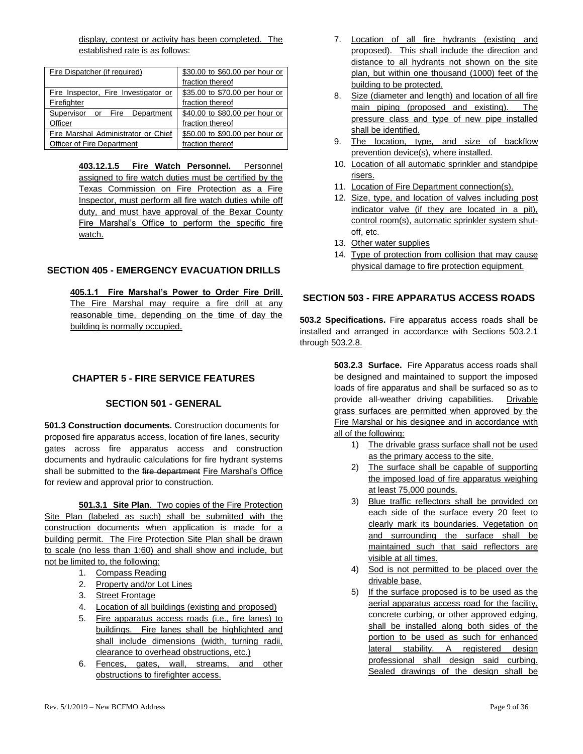display, contest or activity has been completed. The established rate is as follows:

| Fire Dispatcher (if required)        | \$30.00 to \$60.00 per hour or |  |
|--------------------------------------|--------------------------------|--|
|                                      | fraction thereof               |  |
| Fire Inspector, Fire Investigator or | \$35.00 to \$70.00 per hour or |  |
| Firefighter                          | fraction thereof               |  |
| Supervisor or Fire Department        | \$40.00 to \$80.00 per hour or |  |
| Officer                              | fraction thereof               |  |
| Fire Marshal Administrator or Chief  | \$50.00 to \$90.00 per hour or |  |
| Officer of Fire Department           | fraction thereof               |  |

**403.12.1.5 Fire Watch Personnel.** Personnel assigned to fire watch duties must be certified by the Texas Commission on Fire Protection as a Fire Inspector, must perform all fire watch duties while off duty, and must have approval of the Bexar County Fire Marshal's Office to perform the specific fire watch.

### <span id="page-8-0"></span>**SECTION 405 - EMERGENCY EVACUATION DRILLS**

**405.1.1 Fire Marshal's Power to Order Fire Drill**. The Fire Marshal may require a fire drill at any reasonable time, depending on the time of day the building is normally occupied.

### <span id="page-8-1"></span>**CHAPTER 5 - FIRE SERVICE FEATURES**

#### **SECTION 501 - GENERAL**

<span id="page-8-2"></span>**501.3 Construction documents.** Construction documents for proposed fire apparatus access, location of fire lanes, security gates across fire apparatus access and construction documents and hydraulic calculations for fire hydrant systems shall be submitted to the fire department Fire Marshal's Office for review and approval prior to construction.

**501.3.1 Site Plan**. Two copies of the Fire Protection Site Plan (labeled as such) shall be submitted with the construction documents when application is made for a building permit. The Fire Protection Site Plan shall be drawn to scale (no less than 1:60) and shall show and include, but not be limited to, the following:

- 1. Compass Reading
- 2. Property and/or Lot Lines
- 3. Street Frontage
- 4. Location of all buildings (existing and proposed)
- 5. Fire apparatus access roads (i.e., fire lanes) to buildings. Fire lanes shall be highlighted and shall include dimensions (width, turning radii, clearance to overhead obstructions, etc.)
- 6. Fences, gates, wall, streams, and other obstructions to firefighter access.
- 7. Location of all fire hydrants (existing and proposed). This shall include the direction and distance to all hydrants not shown on the site plan, but within one thousand (1000) feet of the building to be protected.
- 8. Size (diameter and length) and location of all fire main piping (proposed and existing). The pressure class and type of new pipe installed shall be identified.
- 9. The location, type, and size of backflow prevention device(s), where installed.
- 10. Location of all automatic sprinkler and standpipe risers.
- 11. Location of Fire Department connection(s).
- 12. Size, type, and location of valves including post indicator valve (if they are located in a pit), control room(s), automatic sprinkler system shutoff, etc.
- 13. Other water supplies
- 14. Type of protection from collision that may cause physical damage to fire protection equipment.

#### <span id="page-8-3"></span>**SECTION 503 - FIRE APPARATUS ACCESS ROADS**

**503.2 Specifications.** Fire apparatus access roads shall be installed and arranged in accordance with Sections 503.2.1 through 503.2.8.

> **503.2.3 Surface.** Fire Apparatus access roads shall be designed and maintained to support the imposed loads of fire apparatus and shall be surfaced so as to provide all-weather driving capabilities. Drivable grass surfaces are permitted when approved by the Fire Marshal or his designee and in accordance with all of the following:

- 1) The drivable grass surface shall not be used as the primary access to the site.
- 2) The surface shall be capable of supporting the imposed load of fire apparatus weighing at least 75,000 pounds.
- 3) Blue traffic reflectors shall be provided on each side of the surface every 20 feet to clearly mark its boundaries. Vegetation on and surrounding the surface shall be maintained such that said reflectors are visible at all times.
- 4) Sod is not permitted to be placed over the drivable base.
- 5) If the surface proposed is to be used as the aerial apparatus access road for the facility, concrete curbing, or other approved edging, shall be installed along both sides of the portion to be used as such for enhanced lateral stability. A registered design professional shall design said curbing. Sealed drawings of the design shall be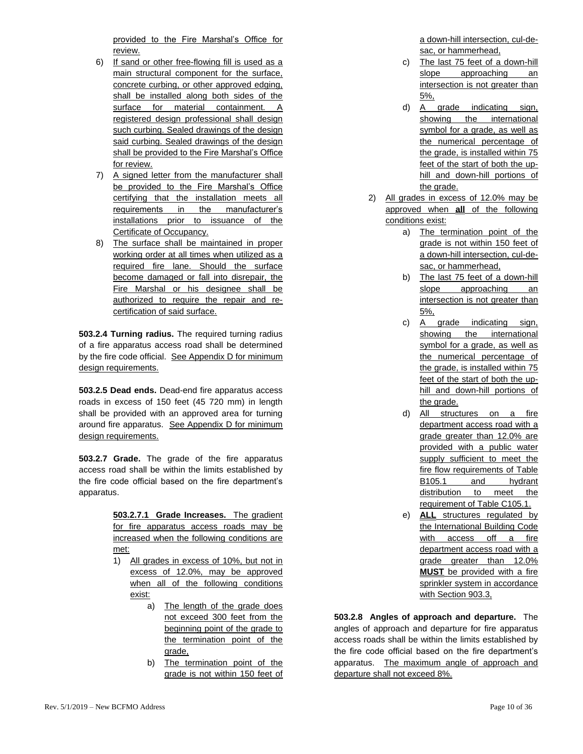provided to the Fire Marshal's Office for review.

- 6) If sand or other free-flowing fill is used as a main structural component for the surface, concrete curbing, or other approved edging, shall be installed along both sides of the surface for material containment. A registered design professional shall design such curbing. Sealed drawings of the design said curbing. Sealed drawings of the design shall be provided to the Fire Marshal's Office for review.
- 7) A signed letter from the manufacturer shall be provided to the Fire Marshal's Office certifying that the installation meets all requirements in the manufacturer's installations prior to issuance of the Certificate of Occupancy.
- 8) The surface shall be maintained in proper working order at all times when utilized as a required fire lane. Should the surface become damaged or fall into disrepair, the Fire Marshal or his designee shall be authorized to require the repair and recertification of said surface.

**503.2.4 Turning radius.** The required turning radius of a fire apparatus access road shall be determined by the fire code official. See Appendix D for minimum design requirements.

**503.2.5 Dead ends.** Dead-end fire apparatus access roads in excess of 150 feet (45 720 mm) in length shall be provided with an approved area for turning around fire apparatus. See Appendix D for minimum design requirements.

**503.2.7 Grade.** The grade of the fire apparatus access road shall be within the limits established by the fire code official based on the fire department's apparatus.

> **503.2.7.1 Grade Increases.** The gradient for fire apparatus access roads may be increased when the following conditions are met:

- 1) All grades in excess of 10%, but not in excess of 12.0%, may be approved when all of the following conditions exist:
	- a) The length of the grade does not exceed 300 feet from the beginning point of the grade to the termination point of the grade,
	- b) The termination point of the grade is not within 150 feet of

a down-hill intersection, cul-desac, or hammerhead,

- c) The last 75 feet of a down-hill slope approaching an intersection is not greater than 5%,
- d) A grade indicating sign, showing the international symbol for a grade, as well as the numerical percentage of the grade, is installed within 75 feet of the start of both the uphill and down-hill portions of the grade.
- 2) All grades in excess of 12.0% may be approved when **all** of the following conditions exist:
	- a) The termination point of the grade is not within 150 feet of a down-hill intersection, cul-desac, or hammerhead,
	- b) The last 75 feet of a down-hill slope approaching an intersection is not greater than 5%,
	- c) A grade indicating sign, showing the international symbol for a grade, as well as the numerical percentage of the grade, is installed within 75 feet of the start of both the uphill and down-hill portions of the grade.
	- d) All structures on a fire department access road with a grade greater than 12.0% are provided with a public water supply sufficient to meet the fire flow requirements of Table B105.1 and hydrant distribution to meet the requirement of Table C105.1.
	- e) **ALL** structures regulated by the International Building Code with access off a fire department access road with a grade greater than 12.0% **MUST** be provided with a fire sprinkler system in accordance with Section 903.3,

**503.2.8 Angles of approach and departure.** The angles of approach and departure for fire apparatus access roads shall be within the limits established by the fire code official based on the fire department's apparatus. The maximum angle of approach and departure shall not exceed 8%.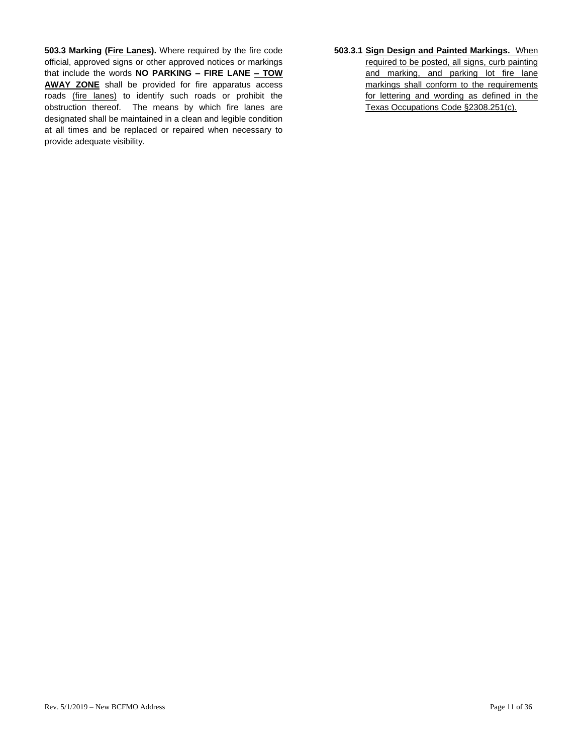**503.3 Marking (Fire Lanes).** Where required by the fire code official, approved signs or other approved notices or markings that include the words **NO PARKING – FIRE LANE – TOW AWAY ZONE** shall be provided for fire apparatus access roads (fire lanes) to identify such roads or prohibit the obstruction thereof. The means by which fire lanes are designated shall be maintained in a clean and legible condition at all times and be replaced or repaired when necessary to provide adequate visibility.

**503.3.1 Sign Design and Painted Markings.** When required to be posted, all signs, curb painting and marking, and parking lot fire lane markings shall conform to the requirements for lettering and wording as defined in the Texas Occupations Code §2308.251(c).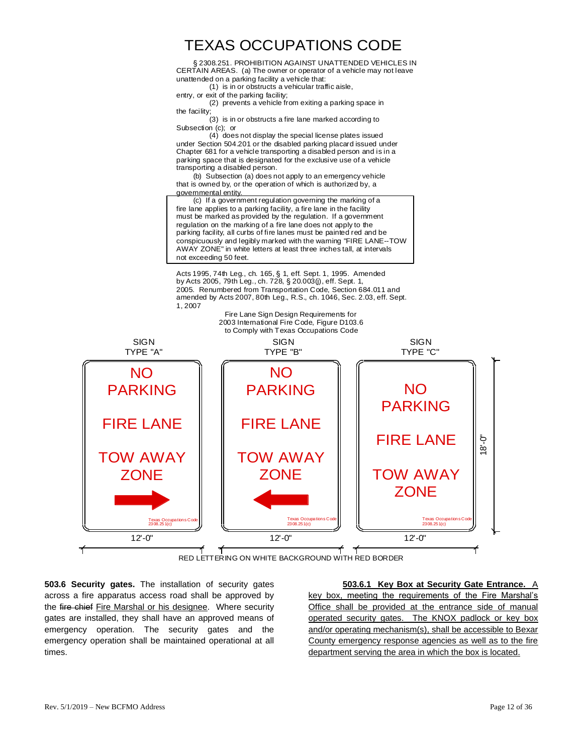# TEXAS OCCUPATIONS CODE

§ 2308.251. PROHIBITION AGAINST UNATTENDED VEHICLES IN CERTAIN AREAS. (a) The owner or operator of a vehicle may not leave unattended on a parking facility a vehicle that:

(1) is in or obstructs a vehicular traffic aisle,

entry, or exit of the parking facility;

(2) prevents a vehicle from exiting a parking space in the facility;

(3) is in or obstructs a fire lane marked according to Subsection (c); or

(4) does not display the special license plates issued under Section 504.201 or the disabled parking placard issued under Chapter 681 for a vehicle transporting a disabled person and is in a parking space that is designated for the exclusive use of a vehicle transporting a disabled person.

(b) Subsection (a) does not apply to an emergency vehicle that is owned by, or the operation of which is authorized by, a governmental entity.

(c) If a government regulation governing the marking of a fire lane applies to a parking facility, a fire lane in the facility must be marked as provided by the regulation. If a government regulation on the marking of a fire lane does not apply to the parking facility, all curbs of fire lanes must be painted red and be conspicuously and legibly marked with the warning "FIRE LANE--TOW AWAY ZONE" in white letters at least three inches tall, at intervals not exceeding 50 feet.

Acts 1995, 74th Leg., ch. 165, § 1, eff. Sept. 1, 1995. Amended by Acts 2005, 79th Leg., ch. 728, § 20.003(j), eff. Sept. 1, 2005. Renumbered from Transportation Code, Section 684.011 and amended by Acts 2007, 80th Leg., R.S., ch. 1046, Sec. 2.03, eff. Sept. 1, 2007



**503.6 Security gates.** The installation of security gates across a fire apparatus access road shall be approved by the fire chief Fire Marshal or his designee. Where security gates are installed, they shall have an approved means of emergency operation. The security gates and the emergency operation shall be maintained operational at all times.

**503.6.1 Key Box at Security Gate Entrance.** A key box, meeting the requirements of the Fire Marshal's Office shall be provided at the entrance side of manual operated security gates. The KNOX padlock or key box and/or operating mechanism(s), shall be accessible to Bexar County emergency response agencies as well as to the fire department serving the area in which the box is located.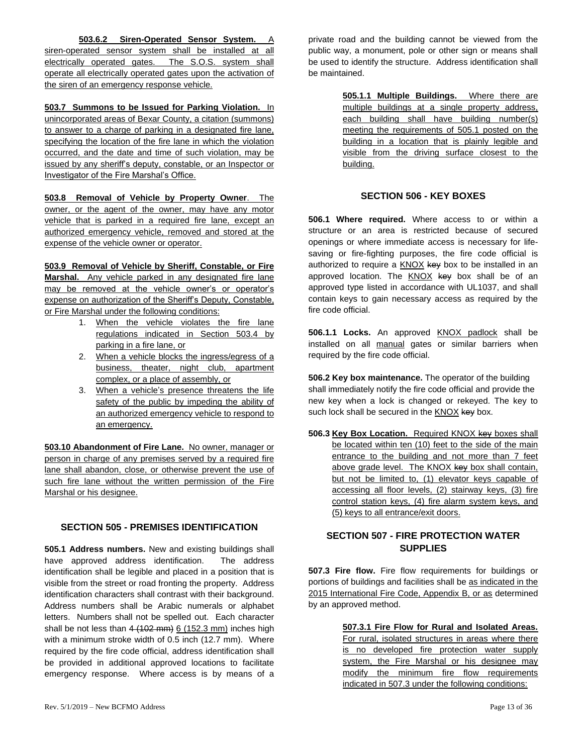**503.6.2 Siren-Operated Sensor System.** A

siren-operated sensor system shall be installed at all electrically operated gates. The S.O.S. system shall operate all electrically operated gates upon the activation of the siren of an emergency response vehicle.

**503.7 Summons to be Issued for Parking Violation.** In unincorporated areas of Bexar County, a citation (summons) to answer to a charge of parking in a designated fire lane, specifying the location of the fire lane in which the violation occurred, and the date and time of such violation, may be issued by any sheriff's deputy, constable, or an Inspector or Investigator of the Fire Marshal's Office.

**503.8 Removal of Vehicle by Property Owner**. The owner, or the agent of the owner, may have any motor vehicle that is parked in a required fire lane, except an authorized emergency vehicle, removed and stored at the expense of the vehicle owner or operator.

**503.9 Removal of Vehicle by Sheriff, Constable, or Fire Marshal.** Any vehicle parked in any designated fire lane may be removed at the vehicle owner's or operator's expense on authorization of the Sheriff's Deputy, Constable, or Fire Marshal under the following conditions:

- 1. When the vehicle violates the fire lane regulations indicated in Section 503.4 by parking in a fire lane, or
- 2. When a vehicle blocks the ingress/egress of a business, theater, night club, apartment complex, or a place of assembly, or
- 3. When a vehicle's presence threatens the life safety of the public by impeding the ability of an authorized emergency vehicle to respond to an emergency.

**503.10 Abandonment of Fire Lane.** No owner, manager or person in charge of any premises served by a required fire lane shall abandon, close, or otherwise prevent the use of such fire lane without the written permission of the Fire Marshal or his designee.

### <span id="page-12-0"></span>**SECTION 505 - PREMISES IDENTIFICATION**

**505.1 Address numbers.** New and existing buildings shall have approved address identification. The address identification shall be legible and placed in a position that is visible from the street or road fronting the property. Address identification characters shall contrast with their background. Address numbers shall be Arabic numerals or alphabet letters. Numbers shall not be spelled out. Each character shall be not less than  $4(102 \text{ mm})$   $6(152.3 \text{ mm})$  inches high with a minimum stroke width of 0.5 inch (12.7 mm). Where required by the fire code official, address identification shall be provided in additional approved locations to facilitate emergency response. Where access is by means of a private road and the building cannot be viewed from the public way, a monument, pole or other sign or means shall be used to identify the structure. Address identification shall be maintained.

> **505.1.1 Multiple Buildings.** Where there are multiple buildings at a single property address, each building shall have building number(s) meeting the requirements of 505.1 posted on the building in a location that is plainly legible and visible from the driving surface closest to the building.

# **SECTION 506 - KEY BOXES**

<span id="page-12-1"></span>**506.1 Where required.** Where access to or within a structure or an area is restricted because of secured openings or where immediate access is necessary for lifesaving or fire-fighting purposes, the fire code official is authorized to require a KNOX key box to be installed in an approved location. The KNOX key box shall be of an approved type listed in accordance with UL1037, and shall contain keys to gain necessary access as required by the fire code official.

**506.1.1 Locks.** An approved KNOX padlock shall be installed on all manual gates or similar barriers when required by the fire code official.

**506.2 Key box maintenance.** The operator of the building shall immediately notify the fire code official and provide the new key when a lock is changed or rekeyed. The key to such lock shall be secured in the KNOX key box.

**506.3 Key Box Location.** Required KNOX key boxes shall be located within ten (10) feet to the side of the main entrance to the building and not more than 7 feet above grade level. The KNOX key box shall contain, but not be limited to, (1) elevator keys capable of accessing all floor levels, (2) stairway keys, (3) fire control station keys, (4) fire alarm system keys, and (5) keys to all entrance/exit doors.

# <span id="page-12-2"></span>**SECTION 507 - FIRE PROTECTION WATER SUPPLIES**

**507.3 Fire flow.** Fire flow requirements for buildings or portions of buildings and facilities shall be as indicated in the 2015 International Fire Code, Appendix B, or as determined by an approved method.

> **507.3.1 Fire Flow for Rural and Isolated Areas.**  For rural, isolated structures in areas where there is no developed fire protection water supply system, the Fire Marshal or his designee may modify the minimum fire flow requirements indicated in 507.3 under the following conditions: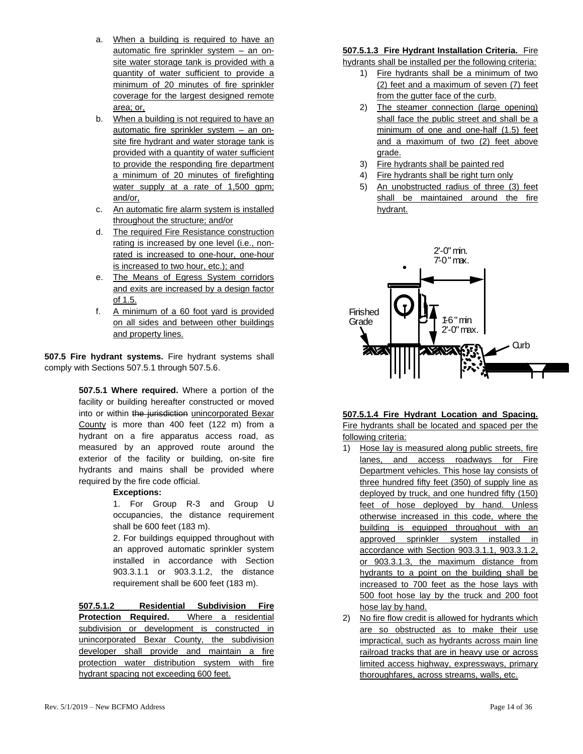- a. When a building is required to have an automatic fire sprinkler system – an onsite water storage tank is provided with a quantity of water sufficient to provide a minimum of 20 minutes of fire sprinkler coverage for the largest designed remote area; or,
- b. When a building is not required to have an automatic fire sprinkler system – an onsite fire hydrant and water storage tank is provided with a quantity of water sufficient to provide the responding fire department a minimum of 20 minutes of firefighting water supply at a rate of 1,500 gpm; and/or,
- c. An automatic fire alarm system is installed throughout the structure; and/or
- d. The required Fire Resistance construction rating is increased by one level (i.e., nonrated is increased to one-hour, one-hour is increased to two hour, etc.); and
- e. The Means of Egress System corridors and exits are increased by a design factor of 1.5.
- f. A minimum of a 60 foot yard is provided on all sides and between other buildings and property lines.

**507.5 Fire hydrant systems.** Fire hydrant systems shall comply with Sections 507.5.1 through 507.5.6.

> **507.5.1 Where required.** Where a portion of the facility or building hereafter constructed or moved into or within the jurisdiction unincorporated Bexar County is more than 400 feet (122 m) from a hydrant on a fire apparatus access road, as measured by an approved route around the exterior of the facility or building, on-site fire hydrants and mains shall be provided where required by the fire code official.

#### **Exceptions:**

1. For Group R-3 and Group U occupancies, the distance requirement shall be 600 feet (183 m).

2. For buildings equipped throughout with an approved automatic sprinkler system installed in accordance with Section 903.3.1.1 or 903.3.1.2, the distance requirement shall be 600 feet (183 m).

**507.5.1.2 Residential Subdivision Fire Protection Required.** Where a residential subdivision or development is constructed in unincorporated Bexar County, the subdivision developer shall provide and maintain a fire protection water distribution system with fire hydrant spacing not exceeding 600 feet.

#### **507.5.1.3 Fire Hydrant Installation Criteria.** Fire

hydrants shall be installed per the following criteria:

- 1) Fire hydrants shall be a minimum of two (2) feet and a maximum of seven (7) feet from the gutter face of the curb.
- 2) The steamer connection (large opening) shall face the public street and shall be a minimum of one and one-half (1.5) feet and a maximum of two (2) feet above grade.
- 3) Fire hydrants shall be painted red
- 4) Fire hydrants shall be right turn only
- 5) An unobstructed radius of three (3) feet shall be maintained around the fire hydrant.



# **507.5.1.4 Fire Hydrant Location and Spacing.**

Fire hydrants shall be located and spaced per the following criteria:

- 1) Hose lay is measured along public streets, fire lanes, and access roadways for Fire Department vehicles. This hose lay consists of three hundred fifty feet (350) of supply line as deployed by truck, and one hundred fifty (150) feet of hose deployed by hand. Unless otherwise increased in this code, where the building is equipped throughout with an approved sprinkler system installed in accordance with Section 903.3.1.1, 903.3.1.2, or 903.3.1.3, the maximum distance from hydrants to a point on the building shall be increased to 700 feet as the hose lays with 500 foot hose lay by the truck and 200 foot hose lay by hand.
- 2) No fire flow credit is allowed for hydrants which are so obstructed as to make their use impractical, such as hydrants across main line railroad tracks that are in heavy use or across limited access highway, expressways, primary thoroughfares, across streams, walls, etc.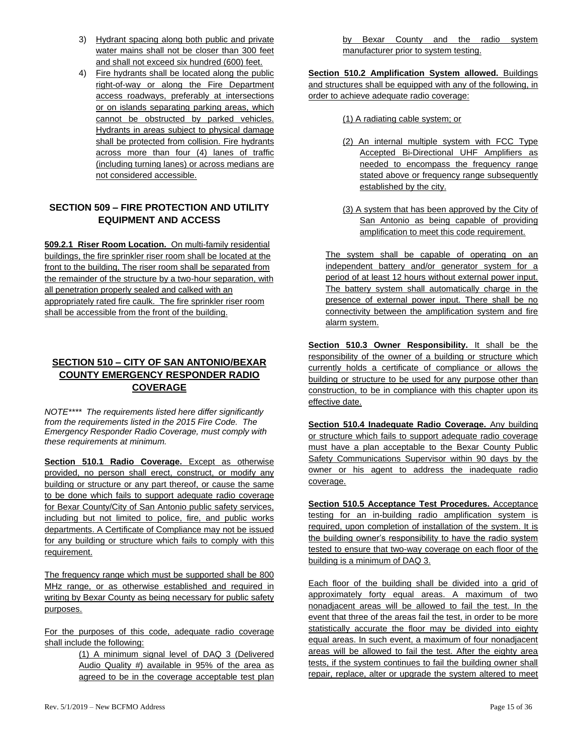- 3) Hydrant spacing along both public and private water mains shall not be closer than 300 feet and shall not exceed six hundred (600) feet.
- 4) Fire hydrants shall be located along the public right-of-way or along the Fire Department access roadways, preferably at intersections or on islands separating parking areas, which cannot be obstructed by parked vehicles. Hydrants in areas subject to physical damage shall be protected from collision. Fire hydrants across more than four (4) lanes of traffic (including turning lanes) or across medians are not considered accessible.

### <span id="page-14-0"></span>**SECTION 509 – FIRE PROTECTION AND UTILITY EQUIPMENT AND ACCESS**

**509.2.1 Riser Room Location.** On multi-family residential buildings, the fire sprinkler riser room shall be located at the front to the building, The riser room shall be separated from the remainder of the structure by a two-hour separation, with all penetration properly sealed and calked with an appropriately rated fire caulk. The fire sprinkler riser room shall be accessible from the front of the building.

# <span id="page-14-1"></span>**SECTION 510 – CITY OF SAN ANTONIO/BEXAR COUNTY EMERGENCY RESPONDER RADIO COVERAGE**

*NOTE\*\*\*\* The requirements listed here differ significantly from the requirements listed in the 2015 Fire Code. The Emergency Responder Radio Coverage, must comply with these requirements at minimum.*

**Section 510.1 Radio Coverage.** Except as otherwise provided, no person shall erect, construct, or modify any building or structure or any part thereof, or cause the same to be done which fails to support adequate radio coverage for Bexar County/City of San Antonio public safety services, including but not limited to police, fire, and public works departments. A Certificate of Compliance may not be issued for any building or structure which fails to comply with this requirement.

The frequency range which must be supported shall be 800 MHz range, or as otherwise established and required in writing by Bexar County as being necessary for public safety purposes.

For the purposes of this code, adequate radio coverage shall include the following:

> (1) A minimum signal level of DAQ 3 (Delivered Audio Quality #) available in 95% of the area as agreed to be in the coverage acceptable test plan

by Bexar County and the radio system manufacturer prior to system testing.

**Section 510.2 Amplification System allowed.** Buildings and structures shall be equipped with any of the following, in order to achieve adequate radio coverage:

- (1) A radiating cable system; or
- (2) An internal multiple system with FCC Type Accepted Bi-Directional UHF Amplifiers as needed to encompass the frequency range stated above or frequency range subsequently established by the city.
- (3) A system that has been approved by the City of San Antonio as being capable of providing amplification to meet this code requirement.

The system shall be capable of operating on an independent battery and/or generator system for a period of at least 12 hours without external power input. The battery system shall automatically charge in the presence of external power input. There shall be no connectivity between the amplification system and fire alarm system.

**Section 510.3 Owner Responsibility.** It shall be the responsibility of the owner of a building or structure which currently holds a certificate of compliance or allows the building or structure to be used for any purpose other than construction, to be in compliance with this chapter upon its effective date.

**Section 510.4 Inadequate Radio Coverage.** Any building or structure which fails to support adequate radio coverage must have a plan acceptable to the Bexar County Public Safety Communications Supervisor within 90 days by the owner or his agent to address the inadequate radio coverage.

**Section 510.5 Acceptance Test Procedures.** Acceptance testing for an in-building radio amplification system is required, upon completion of installation of the system. It is the building owner's responsibility to have the radio system tested to ensure that two-way coverage on each floor of the building is a minimum of DAQ 3.

Each floor of the building shall be divided into a grid of approximately forty equal areas. A maximum of two nonadjacent areas will be allowed to fail the test. In the event that three of the areas fail the test, in order to be more statistically accurate the floor may be divided into eighty equal areas. In such event, a maximum of four nonadjacent areas will be allowed to fail the test. After the eighty area tests, if the system continues to fail the building owner shall repair, replace, alter or upgrade the system altered to meet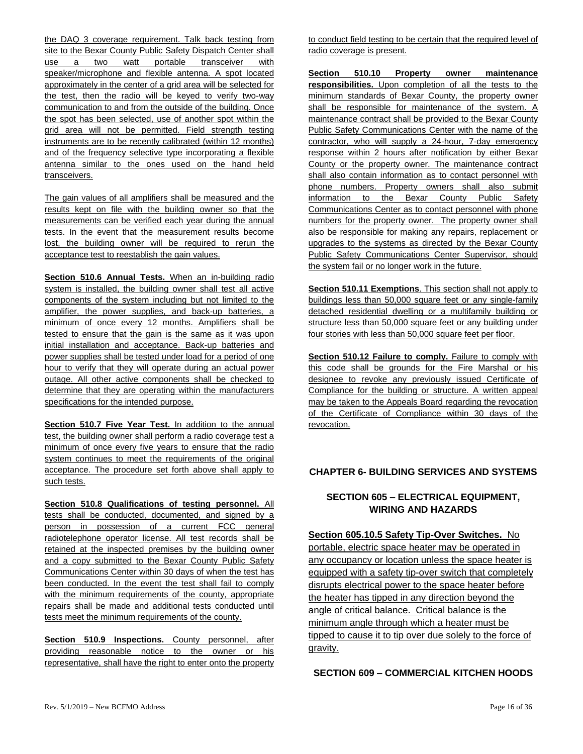the DAQ 3 coverage requirement. Talk back testing from site to the Bexar County Public Safety Dispatch Center shall use a two watt portable transceiver with speaker/microphone and flexible antenna. A spot located approximately in the center of a grid area will be selected for the test, then the radio will be keyed to verify two-way communication to and from the outside of the building. Once the spot has been selected, use of another spot within the grid area will not be permitted. Field strength testing instruments are to be recently calibrated (within 12 months) and of the frequency selective type incorporating a flexible antenna similar to the ones used on the hand held transceivers.

The gain values of all amplifiers shall be measured and the results kept on file with the building owner so that the measurements can be verified each year during the annual tests. In the event that the measurement results become lost, the building owner will be required to rerun the acceptance test to reestablish the gain values.

**Section 510.6 Annual Tests.** When an in-building radio system is installed, the building owner shall test all active components of the system including but not limited to the amplifier, the power supplies, and back-up batteries, a minimum of once every 12 months. Amplifiers shall be tested to ensure that the gain is the same as it was upon initial installation and acceptance. Back-up batteries and power supplies shall be tested under load for a period of one hour to verify that they will operate during an actual power outage. All other active components shall be checked to determine that they are operating within the manufacturers specifications for the intended purpose.

**Section 510.7 Five Year Test.** In addition to the annual test, the building owner shall perform a radio coverage test a minimum of once every five years to ensure that the radio system continues to meet the requirements of the original acceptance. The procedure set forth above shall apply to such tests.

**Section 510.8 Qualifications of testing personnel.** All tests shall be conducted, documented, and signed by a person in possession of a current FCC general radiotelephone operator license. All test records shall be retained at the inspected premises by the building owner and a copy submitted to the Bexar County Public Safety Communications Center within 30 days of when the test has been conducted. In the event the test shall fail to comply with the minimum requirements of the county, appropriate repairs shall be made and additional tests conducted until tests meet the minimum requirements of the county.

**Section 510.9 Inspections.** County personnel, after providing reasonable notice to the owner or his representative, shall have the right to enter onto the property to conduct field testing to be certain that the required level of radio coverage is present.

**Section 510.10 Property owner maintenance responsibilities.** Upon completion of all the tests to the minimum standards of Bexar County, the property owner shall be responsible for maintenance of the system. A maintenance contract shall be provided to the Bexar County Public Safety Communications Center with the name of the contractor, who will supply a 24-hour, 7-day emergency response within 2 hours after notification by either Bexar County or the property owner. The maintenance contract shall also contain information as to contact personnel with phone numbers. Property owners shall also submit information to the Bexar County Public Safety Communications Center as to contact personnel with phone numbers for the property owner. The property owner shall also be responsible for making any repairs, replacement or upgrades to the systems as directed by the Bexar County Public Safety Communications Center Supervisor, should the system fail or no longer work in the future.

**Section 510.11 Exemptions**. This section shall not apply to buildings less than 50,000 square feet or any single-family detached residential dwelling or a multifamily building or structure less than 50,000 square feet or any building under four stories with less than 50,000 square feet per floor.

**Section 510.12 Failure to comply.** Failure to comply with this code shall be grounds for the Fire Marshal or his designee to revoke any previously issued Certificate of Compliance for the building or structure. A written appeal may be taken to the Appeals Board regarding the revocation of the Certificate of Compliance within 30 days of the revocation.

#### <span id="page-15-0"></span>**CHAPTER 6- BUILDING SERVICES AND SYSTEMS**

### **SECTION 605 – ELECTRICAL EQUIPMENT, WIRING AND HAZARDS**

<span id="page-15-1"></span>**Section 605.10.5 Safety Tip-Over Switches.** No portable, electric space heater may be operated in any occupancy or location unless the space heater is equipped with a safety tip-over switch that completely disrupts electrical power to the space heater before the heater has tipped in any direction beyond the angle of critical balance. Critical balance is the minimum angle through which a heater must be tipped to cause it to tip over due solely to the force of gravity.

### **SECTION 609 – COMMERCIAL KITCHEN HOODS**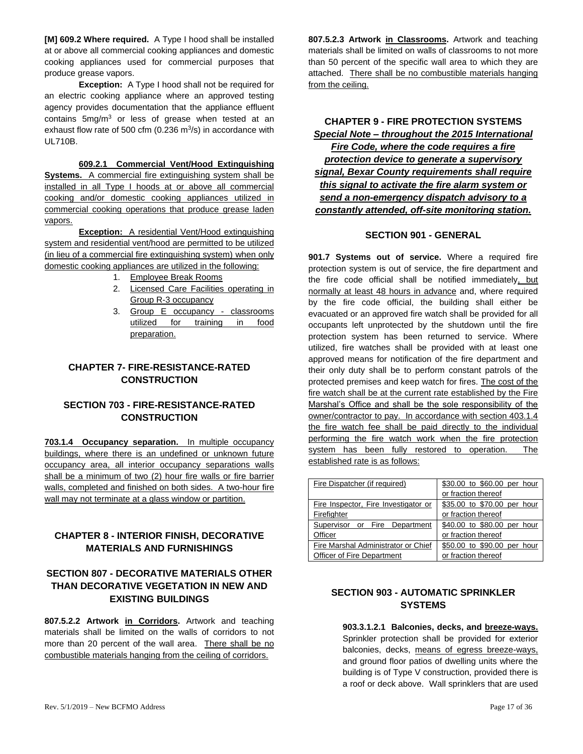**[M] 609.2 Where required.** A Type I hood shall be installed at or above all commercial cooking appliances and domestic cooking appliances used for commercial purposes that produce grease vapors.

**Exception:** A Type I hood shall not be required for an electric cooking appliance where an approved testing agency provides documentation that the appliance effluent contains 5mg/m<sup>3</sup> or less of grease when tested at an exhaust flow rate of 500 cfm (0.236  $\mathrm{m}^3$ /s) in accordance with UL710B.

**609.2.1 Commercial Vent/Hood Extinguishing Systems.** A commercial fire extinguishing system shall be installed in all Type I hoods at or above all commercial cooking and/or domestic cooking appliances utilized in commercial cooking operations that produce grease laden vapors.

**Exception:** A residential Vent/Hood extinguishing system and residential vent/hood are permitted to be utilized (in lieu of a commercial fire extinguishing system) when only domestic cooking appliances are utilized in the following:

- 1. Employee Break Rooms
- 2. Licensed Care Facilities operating in Group R-3 occupancy
- 3. Group E occupancy classrooms utilized for training in food preparation.

### <span id="page-16-0"></span>**CHAPTER 7- FIRE-RESISTANCE-RATED CONSTRUCTION**

### <span id="page-16-1"></span>**SECTION 703 - FIRE-RESISTANCE-RATED CONSTRUCTION**

**703.1.4 Occupancy separation.** In multiple occupancy buildings, where there is an undefined or unknown future occupancy area, all interior occupancy separations walls shall be a minimum of two (2) hour fire walls or fire barrier walls, completed and finished on both sides. A two-hour fire wall may not terminate at a glass window or partition.

### <span id="page-16-2"></span>**CHAPTER 8 - INTERIOR FINISH, DECORATIVE MATERIALS AND FURNISHINGS**

### <span id="page-16-3"></span>**SECTION 807 - DECORATIVE MATERIALS OTHER THAN DECORATIVE VEGETATION IN NEW AND EXISTING BUILDINGS**

**807.5.2.2 Artwork in Corridors.** Artwork and teaching materials shall be limited on the walls of corridors to not more than 20 percent of the wall area. There shall be no combustible materials hanging from the ceiling of corridors.

**807.5.2.3 Artwork in Classrooms.** Artwork and teaching materials shall be limited on walls of classrooms to not more than 50 percent of the specific wall area to which they are attached. There shall be no combustible materials hanging from the ceiling.

<span id="page-16-4"></span>**CHAPTER 9 - FIRE PROTECTION SYSTEMS** *Special Note – throughout the 2015 International Fire Code, where the code requires a fire protection device to generate a supervisory signal, Bexar County requirements shall require this signal to activate the fire alarm system or send a non-emergency dispatch advisory to a constantly attended, off-site monitoring station.*

#### **SECTION 901 - GENERAL**

<span id="page-16-5"></span>**901.7 Systems out of service.** Where a required fire protection system is out of service, the fire department and the fire code official shall be notified immediately, but normally at least 48 hours in advance and, where required by the fire code official, the building shall either be evacuated or an approved fire watch shall be provided for all occupants left unprotected by the shutdown until the fire protection system has been returned to service. Where utilized, fire watches shall be provided with at least one approved means for notification of the fire department and their only duty shall be to perform constant patrols of the protected premises and keep watch for fires. The cost of the fire watch shall be at the current rate established by the Fire Marshal's Office and shall be the sole responsibility of the owner/contractor to pay. In accordance with section 403.1.4 the fire watch fee shall be paid directly to the individual performing the fire watch work when the fire protection system has been fully restored to operation. The established rate is as follows:

| Fire Dispatcher (if required)        | \$30.00 to \$60.00 per hour |  |
|--------------------------------------|-----------------------------|--|
|                                      | or fraction thereof         |  |
| Fire Inspector, Fire Investigator or | \$35.00 to \$70.00 per hour |  |
| Firefighter                          | or fraction thereof         |  |
| Supervisor or Fire Department        | \$40.00 to \$80.00 per hour |  |
| Officer                              | or fraction thereof         |  |
| Fire Marshal Administrator or Chief  | \$50.00 to \$90.00 per hour |  |
| Officer of Fire Department           | or fraction thereof         |  |

### <span id="page-16-6"></span>**SECTION 903 - AUTOMATIC SPRINKLER SYSTEMS**

**903.3.1.2.1 Balconies, decks, and breeze-ways.**  Sprinkler protection shall be provided for exterior balconies, decks, means of egress breeze-ways, and ground floor patios of dwelling units where the building is of Type V construction, provided there is a roof or deck above. Wall sprinklers that are used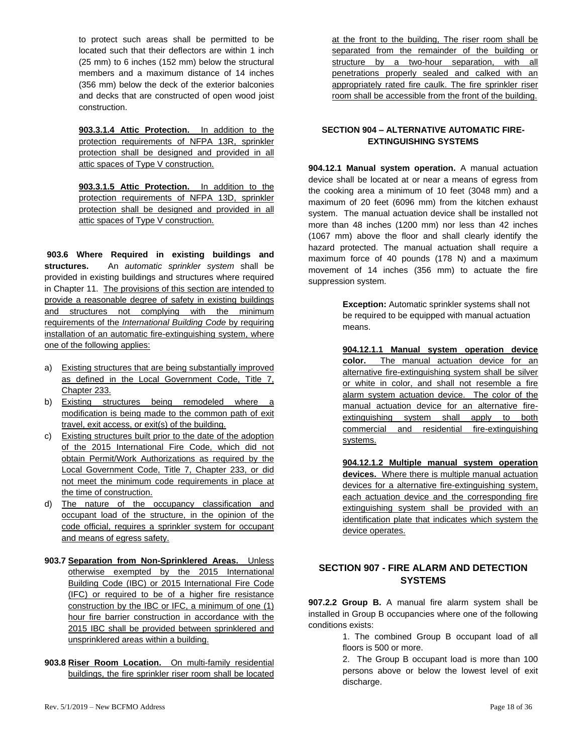to protect such areas shall be permitted to be located such that their deflectors are within 1 inch (25 mm) to 6 inches (152 mm) below the structural members and a maximum distance of 14 inches (356 mm) below the deck of the exterior balconies and decks that are constructed of open wood joist construction.

**903.3.1.4 Attic Protection.** In addition to the protection requirements of NFPA 13R, sprinkler protection shall be designed and provided in all attic spaces of Type V construction.

**903.3.1.5 Attic Protection.** In addition to the protection requirements of NFPA 13D, sprinkler protection shall be designed and provided in all attic spaces of Type V construction.

**903.6 Where Required in existing buildings and structures.** An *automatic sprinkler system* shall be provided in existing buildings and structures where required in Chapter 11.The provisions of this section are intended to provide a reasonable degree of safety in existing buildings and structures not complying with the minimum requirements of the *International Building Code* by requiring installation of an automatic fire-extinguishing system, where one of the following applies:

- a) Existing structures that are being substantially improved as defined in the Local Government Code, Title 7, Chapter 233.
- b) Existing structures being remodeled where a modification is being made to the common path of exit travel, exit access, or exit(s) of the building.
- c) Existing structures built prior to the date of the adoption of the 2015 International Fire Code, which did not obtain Permit/Work Authorizations as required by the Local Government Code, Title 7, Chapter 233, or did not meet the minimum code requirements in place at the time of construction.
- d) The nature of the occupancy classification and occupant load of the structure, in the opinion of the code official, requires a sprinkler system for occupant and means of egress safety.
- **903.7 Separation from Non-Sprinklered Areas.** Unless otherwise exempted by the 2015 International Building Code (IBC) or 2015 International Fire Code (IFC) or required to be of a higher fire resistance construction by the IBC or IFC, a minimum of one (1) hour fire barrier construction in accordance with the 2015 IBC shall be provided between sprinklered and unsprinklered areas within a building.
- **903.8 Riser Room Location.** On multi-family residential buildings, the fire sprinkler riser room shall be located

at the front to the building, The riser room shall be separated from the remainder of the building or structure by a two-hour separation, with all penetrations properly sealed and calked with an appropriately rated fire caulk. The fire sprinkler riser room shall be accessible from the front of the building.

#### <span id="page-17-0"></span>**SECTION 904 – ALTERNATIVE AUTOMATIC FIRE-EXTINGUISHING SYSTEMS**

**904.12.1 Manual system operation.** A manual actuation device shall be located at or near a means of egress from the cooking area a minimum of 10 feet (3048 mm) and a maximum of 20 feet (6096 mm) from the kitchen exhaust system. The manual actuation device shall be installed not more than 48 inches (1200 mm) nor less than 42 inches (1067 mm) above the floor and shall clearly identify the hazard protected. The manual actuation shall require a maximum force of 40 pounds (178 N) and a maximum movement of 14 inches (356 mm) to actuate the fire suppression system.

> **Exception:** Automatic sprinkler systems shall not be required to be equipped with manual actuation means.

**904.12.1.1 Manual system operation device color.** The manual actuation device for an alternative fire-extinguishing system shall be silver or white in color, and shall not resemble a fire alarm system actuation device. The color of the manual actuation device for an alternative fireextinguishing system shall apply to both commercial and residential fire-extinguishing systems.

**904.12.1.2 Multiple manual system operation devices.** Where there is multiple manual actuation devices for a alternative fire-extinguishing system, each actuation device and the corresponding fire extinguishing system shall be provided with an identification plate that indicates which system the device operates.

### <span id="page-17-1"></span>**SECTION 907 - FIRE ALARM AND DETECTION SYSTEMS**

**907.2.2 Group B.** A manual fire alarm system shall be installed in Group B occupancies where one of the following conditions exists:

> 1. The combined Group B occupant load of all floors is 500 or more.

> 2. The Group B occupant load is more than 100 persons above or below the lowest level of exit discharge.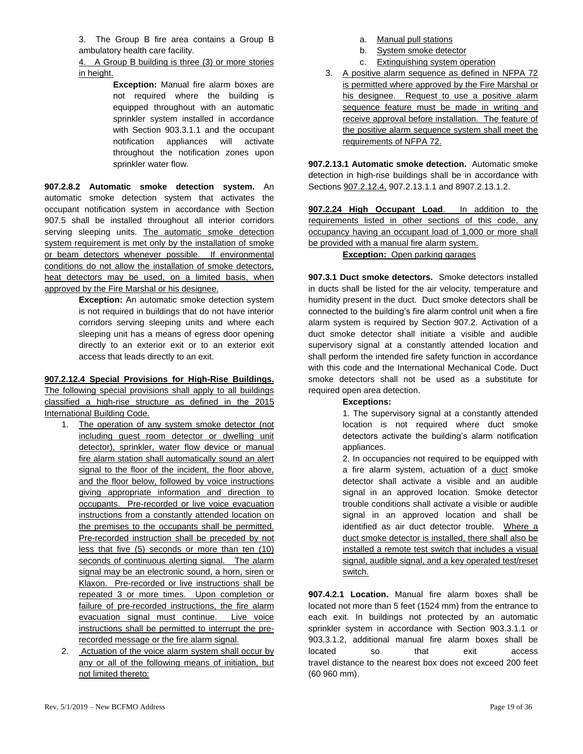3. The Group B fire area contains a Group B ambulatory health care facility.

4. A Group B building is three (3) or more stories in height.

> **Exception:** Manual fire alarm boxes are not required where the building is equipped throughout with an automatic sprinkler system installed in accordance with Section 903.3.1.1 and the occupant notification appliances will activate throughout the notification zones upon sprinkler water flow.

**907.2.8.2 Automatic smoke detection system.** An automatic smoke detection system that activates the occupant notification system in accordance with Section 907.5 shall be installed throughout all interior corridors serving sleeping units. The automatic smoke detection system requirement is met only by the installation of smoke or beam detectors whenever possible. If environmental conditions do not allow the installation of smoke detectors, heat detectors may be used, on a limited basis, when approved by the Fire Marshal or his designee.

> **Exception:** An automatic smoke detection system is not required in buildings that do not have interior corridors serving sleeping units and where each sleeping unit has a means of egress door opening directly to an exterior exit or to an exterior exit access that leads directly to an exit.

#### **907.2.12.4 Special Provisions for High-Rise Buildings.**

The following special provisions shall apply to all buildings classified a high-rise structure as defined in the 2015 International Building Code.

- 1. The operation of any system smoke detector (not including guest room detector or dwelling unit detector), sprinkler, water flow device or manual fire alarm station shall automatically sound an alert signal to the floor of the incident, the floor above, and the floor below, followed by voice instructions giving appropriate information and direction to occupants. Pre-recorded or live voice evacuation instructions from a constantly attended location on the premises to the occupants shall be permitted. Pre-recorded instruction shall be preceded by not less that five (5) seconds or more than ten (10) seconds of continuous alerting signal. The alarm signal may be an electronic sound, a horn, siren or Klaxon. Pre-recorded or live instructions shall be repeated 3 or more times. Upon completion or failure of pre-recorded instructions, the fire alarm evacuation signal must continue. Live voice instructions shall be permitted to interrupt the prerecorded message or the fire alarm signal.
- 2. Actuation of the voice alarm system shall occur by any or all of the following means of initiation, but not limited thereto:
- a. Manual pull stations
- b. System smoke detector
- c. Extinguishing system operation
- 3. A positive alarm sequence as defined in NFPA 72 is permitted where approved by the Fire Marshal or his designee. Request to use a positive alarm sequence feature must be made in writing and receive approval before installation. The feature of the positive alarm sequence system shall meet the requirements of NFPA 72.

**907.2.13.1 Automatic smoke detection.** Automatic smoke detection in high-rise buildings shall be in accordance with Sections 907.2.12.4, 907.2.13.1.1 and 8907.2.13.1.2.

**907.2.24 High Occupant Load**. In addition to the requirements listed in other sections of this code, any occupancy having an occupant load of 1,000 or more shall be provided with a manual fire alarm system.

#### **Exception:** Open parking garages

**907.3.1 Duct smoke detectors.** Smoke detectors installed in ducts shall be listed for the air velocity, temperature and humidity present in the duct. Duct smoke detectors shall be connected to the building's fire alarm control unit when a fire alarm system is required by Section 907.2. Activation of a duct smoke detector shall initiate a visible and audible supervisory signal at a constantly attended location and shall perform the intended fire safety function in accordance with this code and the International Mechanical Code. Duct smoke detectors shall not be used as a substitute for required open area detection.

#### **Exceptions:**

1. The supervisory signal at a constantly attended location is not required where duct smoke detectors activate the building's alarm notification appliances.

2. In occupancies not required to be equipped with a fire alarm system, actuation of a duct smoke detector shall activate a visible and an audible signal in an approved location. Smoke detector trouble conditions shall activate a visible or audible signal in an approved location and shall be identified as air duct detector trouble. Where a duct smoke detector is installed, there shall also be installed a remote test switch that includes a visual signal, audible signal, and a key operated test/reset switch.

**907.4.2.1 Location.** Manual fire alarm boxes shall be located not more than 5 feet (1524 mm) from the entrance to each exit. In buildings not protected by an automatic sprinkler system in accordance with Section 903.3.1.1 or 903.3.1.2, additional manual fire alarm boxes shall be located so that exit access travel distance to the nearest box does not exceed 200 feet (60 960 mm).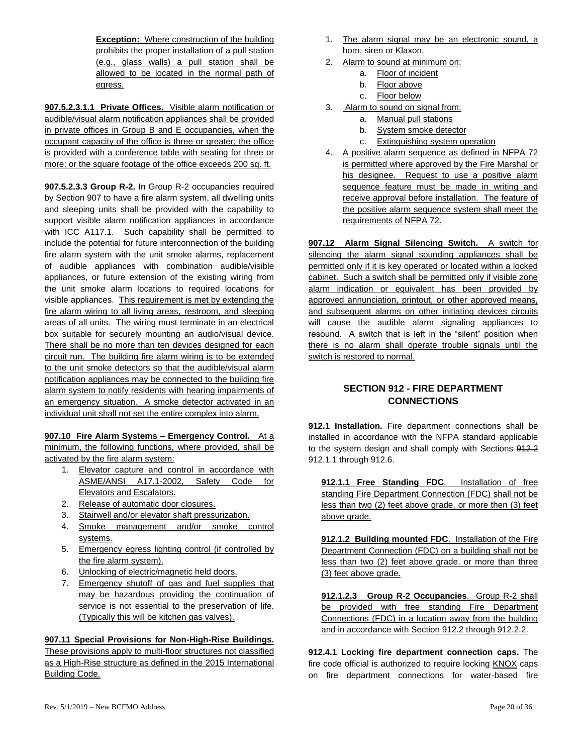**Exception:** Where construction of the building prohibits the proper installation of a pull station (e.g., glass walls) a pull station shall be allowed to be located in the normal path of egress.

**907.5.2.3.1.1 Private Offices.** Visible alarm notification or audible/visual alarm notification appliances shall be provided in private offices in Group B and E occupancies, when the occupant capacity of the office is three or greater; the office is provided with a conference table with seating for three or more; or the square footage of the office exceeds 200 sq. ft.

**907.5.2.3.3 Group R-2.** In Group R-2 occupancies required by Section 907 to have a fire alarm system, all dwelling units and sleeping units shall be provided with the capability to support visible alarm notification appliances in accordance with ICC A117.1. Such capability shall be permitted to include the potential for future interconnection of the building fire alarm system with the unit smoke alarms, replacement of audible appliances with combination audible/visible appliances, or future extension of the existing wiring from the unit smoke alarm locations to required locations for visible appliances. This requirement is met by extending the fire alarm wiring to all living areas, restroom, and sleeping areas of all units. The wiring must terminate in an electrical box suitable for securely mounting an audio/visual device. There shall be no more than ten devices designed for each circuit run. The building fire alarm wiring is to be extended to the unit smoke detectors so that the audible/visual alarm notification appliances may be connected to the building fire alarm system to notify residents with hearing impairments of an emergency situation. A smoke detector activated in an individual unit shall not set the entire complex into alarm.

**907.10 Fire Alarm Systems – Emergency Control.** At a minimum, the following functions, where provided, shall be activated by the fire alarm system:

- 1. Elevator capture and control in accordance with ASME/ANSI A17.1-2002, Safety Code for Elevators and Escalators.
- 2. Release of automatic door closures.
- 3. Stairwell and/or elevator shaft pressurization.
- 4. Smoke management and/or smoke control systems.
- 5. Emergency egress lighting control (if controlled by the fire alarm system).
- 6. Unlocking of electric/magnetic held doors.
- 7. Emergency shutoff of gas and fuel supplies that may be hazardous providing the continuation of service is not essential to the preservation of life. (Typically this will be kitchen gas valves).

#### **907.11 Special Provisions for Non-High-Rise Buildings.**

These provisions apply to multi-floor structures not classified as a High-Rise structure as defined in the 2015 International Building Code.

- 1. The alarm signal may be an electronic sound, a horn, siren or Klaxon.
- 2. Alarm to sound at minimum on:
	- a. Floor of incident
	- b. Floor above
	- c. Floor below
- 3. Alarm to sound on signal from:
	- a. Manual pull stations
	- b. System smoke detector
	- c. Extinguishing system operation
- 4. A positive alarm sequence as defined in NFPA 72 is permitted where approved by the Fire Marshal or his designee. Request to use a positive alarm sequence feature must be made in writing and receive approval before installation. The feature of the positive alarm sequence system shall meet the requirements of NFPA 72.

**907.12 Alarm Signal Silencing Switch.** A switch for silencing the alarm signal sounding appliances shall be permitted only if it is key operated or located within a locked cabinet. Such a switch shall be permitted only if visible zone alarm indication or equivalent has been provided by approved annunciation, printout, or other approved means, and subsequent alarms on other initiating devices circuits will cause the audible alarm signaling appliances to resound. A switch that is left in the "silent" position when there is no alarm shall operate trouble signals until the switch is restored to normal.

# <span id="page-19-0"></span>**SECTION 912 - FIRE DEPARTMENT CONNECTIONS**

**912.1 Installation.** Fire department connections shall be installed in accordance with the NFPA standard applicable to the system design and shall comply with Sections 912.2 912.1.1 through 912.6.

**912.1.1 Free Standing FDC**. Installation of free standing Fire Department Connection (FDC) shall not be less than two (2) feet above grade, or more then (3) feet above grade.

**912.1.2 Building mounted FDC**. Installation of the Fire Department Connection (FDC) on a building shall not be less than two (2) feet above grade, or more than three (3) feet above grade.

**912.1.2.3 Group R-2 Occupancies**. Group R-2 shall be provided with free standing Fire Department Connections (FDC) in a location away from the building and in accordance with Section 912.2 through 912.2.2.

**912.4.1 Locking fire department connection caps.** The fire code official is authorized to require locking KNOX caps on fire department connections for water-based fire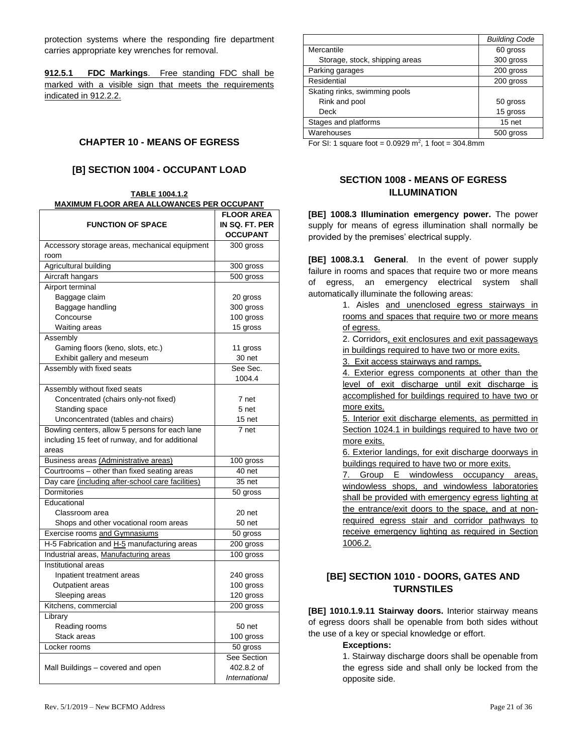protection systems where the responding fire department carries appropriate key wrenches for removal.

**912.5.1 FDC Markings**. Free standing FDC shall be marked with a visible sign that meets the requirements indicated in 912.2.2.

#### <span id="page-20-0"></span>**CHAPTER 10 - MEANS OF EGRESS**

#### **[B] SECTION 1004 - OCCUPANT LOAD**

#### <span id="page-20-1"></span>**TABLE 1004.1.2 MAXIMUM FLOOR AREA ALLOWANCES PER OCCUPANT**

|                                                   | <b>FLOOR AREA</b> |
|---------------------------------------------------|-------------------|
| <b>FUNCTION OF SPACE</b>                          | IN SQ. FT. PER    |
|                                                   | <b>OCCUPANT</b>   |
| Accessory storage areas, mechanical equipment     | 300 gross         |
| room                                              |                   |
| Agricultural building                             | 300 gross         |
| Aircraft hangars                                  | 500 gross         |
| Airport terminal                                  |                   |
| Baggage claim                                     | 20 gross          |
| Baggage handling                                  | 300 gross         |
| Concourse                                         | 100 gross         |
| <b>Waiting areas</b>                              | 15 gross          |
| Assembly                                          |                   |
| Gaming floors (keno, slots, etc.)                 | 11 gross          |
| Exhibit gallery and meseum                        | 30 net            |
| Assembly with fixed seats                         | See Sec.          |
|                                                   | 1004.4            |
| Assembly without fixed seats                      |                   |
| Concentrated (chairs only-not fixed)              | 7 net             |
| Standing space                                    | 5 net             |
| Unconcentrated (tables and chairs)                | 15 net            |
| Bowling centers, allow 5 persons for each lane    | 7 net             |
| including 15 feet of runway, and for additional   |                   |
| areas                                             |                   |
| Business areas (Administrative areas)             | 100 gross         |
| Courtrooms - other than fixed seating areas       | 40 net            |
| Day care (including after-school care facilities) | 35 net            |
| Dormitories                                       | 50 gross          |
| Educational                                       |                   |
| Classroom area                                    | 20 net            |
| Shops and other vocational room areas             | 50 net            |
| Exercise rooms and Gymnasiums                     | 50 gross          |
| H-5 Fabrication and H-5 manufacturing areas       | 200 gross         |
| Industrial areas, Manufacturing areas             | 100 gross         |
| Institutional areas                               |                   |
| Inpatient treatment areas                         | 240 gross         |
| Outpatient areas                                  | 100 gross         |
| Sleeping areas                                    | 120 gross         |
| Kitchens, commercial                              | 200 gross         |
| Library                                           |                   |
| Reading rooms                                     | 50 net            |
| Stack areas                                       | 100 gross         |
| Locker rooms                                      | 50 gross          |
|                                                   | See Section       |
| Mall Buildings – covered and open                 | 402.8.2 of        |
|                                                   | International     |

|                                | <b>Building Code</b> |
|--------------------------------|----------------------|
| Mercantile                     | 60 gross             |
| Storage, stock, shipping areas | 300 gross            |
| Parking garages                | 200 gross            |
| Residential                    | 200 gross            |
| Skating rinks, swimming pools  |                      |
| Rink and pool                  | 50 gross             |
| Deck                           | 15 gross             |
| Stages and platforms           | $15$ net             |
| Warehouses                     | 500 gross            |
| .<br>_ _ _                     |                      |

For SI: 1 square foot =  $0.0929$  m<sup>2</sup>, 1 foot = 304.8mm

### <span id="page-20-2"></span>**SECTION 1008 - MEANS OF EGRESS ILLUMINATION**

**[BE] 1008.3 Illumination emergency power.** The power supply for means of egress illumination shall normally be provided by the premises' electrical supply.

**[BE] 1008.3.1 General**. In the event of power supply failure in rooms and spaces that require two or more means of egress, an emergency electrical system shall automatically illuminate the following areas:

> 1. Aisles and unenclosed egress stairways in rooms and spaces that require two or more means of egress.

> 2. Corridors, exit enclosures and exit passageways in buildings required to have two or more exits.

3. Exit access stairways and ramps.

4. Exterior egress components at other than the level of exit discharge until exit discharge is accomplished for buildings required to have two or more exits.

5. Interior exit discharge elements, as permitted in Section 1024.1 in buildings required to have two or more exits.

6. Exterior landings, for exit discharge doorways in buildings required to have two or more exits.

7. Group E windowless occupancy areas, windowless shops, and windowless laboratories shall be provided with emergency egress lighting at the entrance/exit doors to the space, and at nonrequired egress stair and corridor pathways to receive emergency lighting as required in Section 1006.2.

### <span id="page-20-3"></span>**[BE] SECTION 1010 - DOORS, GATES AND TURNSTILES**

**[BE] 1010.1.9.11 Stairway doors.** Interior stairway means of egress doors shall be openable from both sides without the use of a key or special knowledge or effort.

#### **Exceptions:**

1. Stairway discharge doors shall be openable from the egress side and shall only be locked from the opposite side.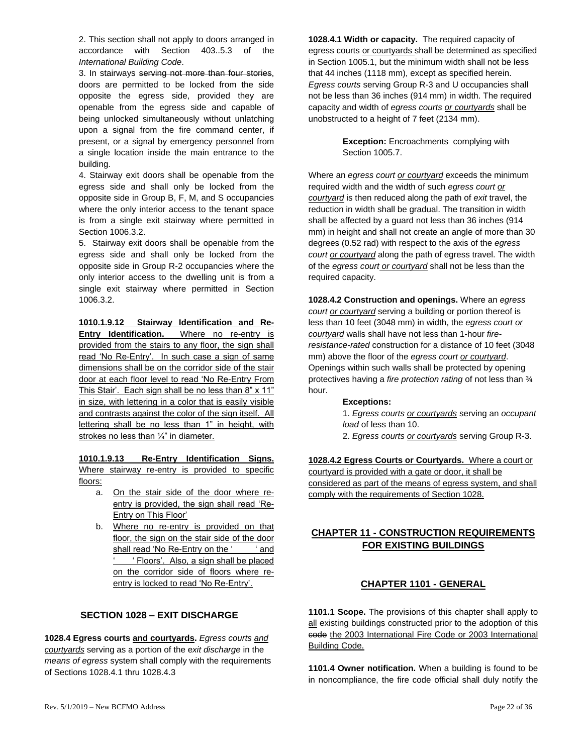2. This section shall not apply to doors arranged in accordance with Section 403..5.3 of the *International Building Code*.

3. In stairways serving not more than four stories, doors are permitted to be locked from the side opposite the egress side, provided they are openable from the egress side and capable of being unlocked simultaneously without unlatching upon a signal from the fire command center, if present, or a signal by emergency personnel from a single location inside the main entrance to the building.

4. Stairway exit doors shall be openable from the egress side and shall only be locked from the opposite side in Group B, F, M, and S occupancies where the only interior access to the tenant space is from a single exit stairway where permitted in Section 1006.3.2.

5. Stairway exit doors shall be openable from the egress side and shall only be locked from the opposite side in Group R-2 occupancies where the only interior access to the dwelling unit is from a single exit stairway where permitted in Section 1006.3.2.

**1010.1.9.12 Stairway Identification and Re-Entry Identification.** Where no re-entry is provided from the stairs to any floor, the sign shall read 'No Re-Entry'. In such case a sign of same dimensions shall be on the corridor side of the stair door at each floor level to read 'No Re-Entry From This Stair'. Each sign shall be no less than 8" x 11" in size, with lettering in a color that is easily visible and contrasts against the color of the sign itself. All lettering shall be no less than 1" in height, with strokes no less than ¼" in diameter.

**1010.1.9.13 Re-Entry Identification Signs.**  Where stairway re-entry is provided to specific floors:

- a. On the stair side of the door where reentry is provided, the sign shall read 'Re-Entry on This Floor'
- b. Where no re-entry is provided on that floor, the sign on the stair side of the door shall read 'No Re-Entry on the ' ' and ' Floors'. Also, a sign shall be placed on the corridor side of floors where reentry is locked to read 'No Re-Entry'.

# **SECTION 1028 – EXIT DISCHARGE**

<span id="page-21-0"></span>**1028.4 Egress courts and courtyards.** *Egress courts and courtyards* serving as a portion of the e*xit discharge* in the *means of egress* system shall comply with the requirements of Sections 1028.4.1 thru 1028.4.3

**1028.4.1 Width or capacity.** The required capacity of egress courts or courtyards shall be determined as specified in Section 1005.1, but the minimum width shall not be less that 44 inches (1118 mm), except as specified herein. *Egress courts* serving Group R-3 and U occupancies shall not be less than 36 inches (914 mm) in width. The required capacity and width of *egress courts or courtyards* shall be unobstructed to a height of 7 feet (2134 mm).

> **Exception:** Encroachments complying with Section 1005.7.

Where an *egress court or courtyard* exceeds the minimum required width and the width of such *egress court or courtyard* is then reduced along the path of *exit* travel, the reduction in width shall be gradual. The transition in width shall be affected by a guard not less than 36 inches (914 mm) in height and shall not create an angle of more than 30 degrees (0.52 rad) with respect to the axis of the *egress court or courtyard* along the path of egress travel. The width of the *egress court or courtyard* shall not be less than the required capacity.

**1028.4.2 Construction and openings.** Where an *egress court or courtyard* serving a building or portion thereof is less than 10 feet (3048 mm) in width, the *egress court or courtyard* walls shall have not less than 1-hour *fireresistance*-*rated* construction for a distance of 10 feet (3048 mm) above the floor of the *egress court or courtyard*. Openings within such walls shall be protected by opening protectives having a *fire protection rating* of not less than ¾ hour.

#### **Exceptions:**

1. *Egress courts or courtyards* serving an *occupant load* of less than 10.

2. *Egress courts or courtyards* serving Group R-3.

**1028.4.2 Egress Courts or Courtyards.** Where a court or courtyard is provided with a gate or door, it shall be considered as part of the means of egress system, and shall comply with the requirements of Section 1028.

### <span id="page-21-2"></span><span id="page-21-1"></span>**CHAPTER 11 - CONSTRUCTION REQUIREMENTS FOR EXISTING BUILDINGS**

#### **CHAPTER 1101 - GENERAL**

**1101.1 Scope.** The provisions of this chapter shall apply to all existing buildings constructed prior to the adoption of this code the 2003 International Fire Code or 2003 International Building Code.

**1101.4 Owner notification.** When a building is found to be in noncompliance, the fire code official shall duly notify the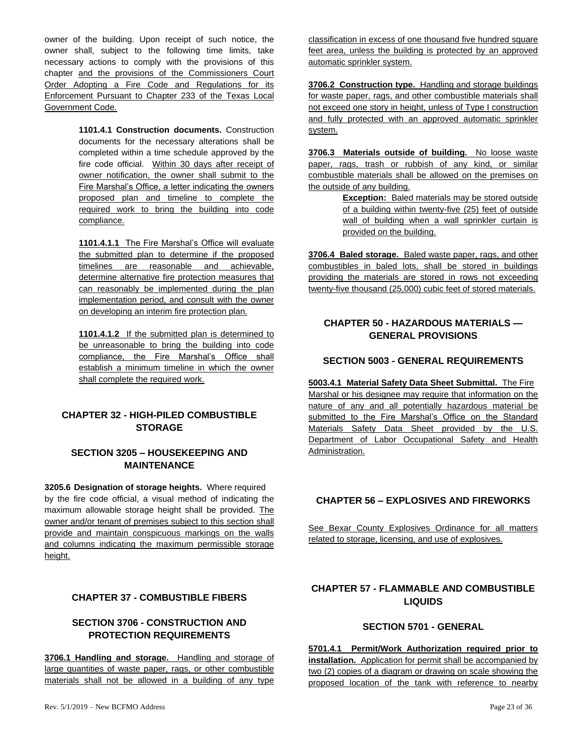owner of the building. Upon receipt of such notice, the owner shall, subject to the following time limits, take necessary actions to comply with the provisions of this chapter and the provisions of the Commissioners Court Order Adopting a Fire Code and Regulations for its Enforcement Pursuant to Chapter 233 of the Texas Local Government Code.

> **1101.4.1 Construction documents.** Construction documents for the necessary alterations shall be completed within a time schedule approved by the fire code official. Within 30 days after receipt of owner notification, the owner shall submit to the Fire Marshal's Office, a letter indicating the owners proposed plan and timeline to complete the required work to bring the building into code compliance.

> **1101.4.1.1** The Fire Marshal's Office will evaluate the submitted plan to determine if the proposed timelines are reasonable and achievable, determine alternative fire protection measures that can reasonably be implemented during the plan implementation period, and consult with the owner on developing an interim fire protection plan.

> **1101.4.1.2** If the submitted plan is determined to be unreasonable to bring the building into code compliance, the Fire Marshal's Office shall establish a minimum timeline in which the owner shall complete the required work.

### <span id="page-22-0"></span>**CHAPTER 32 - HIGH-PILED COMBUSTIBLE STORAGE**

### <span id="page-22-1"></span>**SECTION 3205 – HOUSEKEEPING AND MAINTENANCE**

**3205.6 Designation of storage heights.** Where required by the fire code official, a visual method of indicating the maximum allowable storage height shall be provided. The owner and/or tenant of premises subject to this section shall provide and maintain conspicuous markings on the walls and columns indicating the maximum permissible storage height.

### <span id="page-22-2"></span>**CHAPTER 37 - COMBUSTIBLE FIBERS**

### <span id="page-22-3"></span>**SECTION 3706 - CONSTRUCTION AND PROTECTION REQUIREMENTS**

**3706.1 Handling and storage.** Handling and storage of large quantities of waste paper, rags, or other combustible materials shall not be allowed in a building of any type classification in excess of one thousand five hundred square feet area, unless the building is protected by an approved automatic sprinkler system.

**3706.2 Construction type.** Handling and storage buildings for waste paper, rags, and other combustible materials shall not exceed one story in height, unless of Type I construction and fully protected with an approved automatic sprinkler system.

**3706.3 Materials outside of building.** No loose waste paper, rags, trash or rubbish of any kind, or similar combustible materials shall be allowed on the premises on the outside of any building.

> **Exception:** Baled materials may be stored outside of a building within twenty-five (25) feet of outside wall of building when a wall sprinkler curtain is provided on the building.

**3706.4 Baled storage.** Baled waste paper, rags, and other combustibles in baled lots, shall be stored in buildings providing the materials are stored in rows not exceeding twenty-five thousand (25,000) cubic feet of stored materials.

### <span id="page-22-4"></span>**CHAPTER 50 - HAZARDOUS MATERIALS — GENERAL PROVISIONS**

### <span id="page-22-5"></span>**SECTION 5003 - GENERAL REQUIREMENTS**

**5003.4.1 Material Safety Data Sheet Submittal.** The Fire Marshal or his designee may require that information on the nature of any and all potentially hazardous material be submitted to the Fire Marshal's Office on the Standard Materials Safety Data Sheet provided by the U.S. Department of Labor Occupational Safety and Health Administration.

### <span id="page-22-6"></span>**CHAPTER 56 – EXPLOSIVES AND FIREWORKS**

See Bexar County Explosives Ordinance for all matters related to storage, licensing, and use of explosives.

### <span id="page-22-7"></span>**CHAPTER 57 - FLAMMABLE AND COMBUSTIBLE LIQUIDS**

#### **SECTION 5701 - GENERAL**

<span id="page-22-8"></span>**5701.4.1 Permit/Work Authorization required prior to installation.** Application for permit shall be accompanied by two (2) copies of a diagram or drawing on scale showing the proposed location of the tank with reference to nearby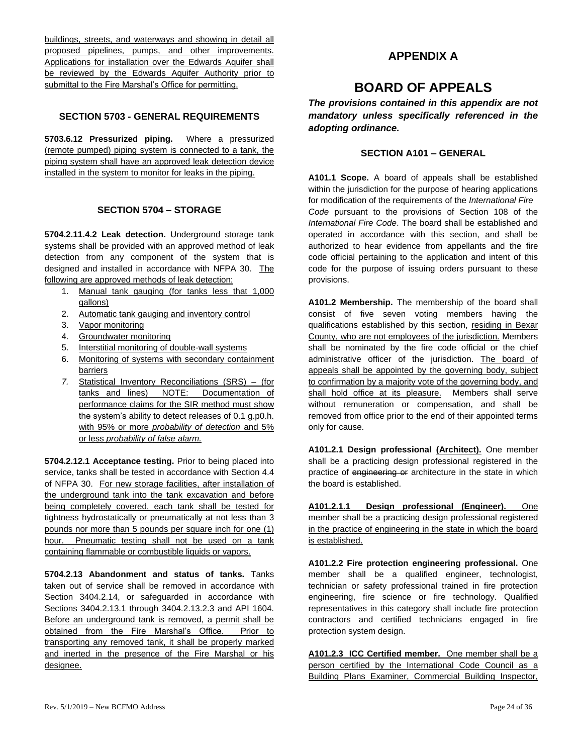buildings, streets, and waterways and showing in detail all proposed pipelines, pumps, and other improvements. Applications for installation over the Edwards Aquifer shall be reviewed by the Edwards Aquifer Authority prior to submittal to the Fire Marshal's Office for permitting.

#### <span id="page-23-0"></span>**SECTION 5703 - GENERAL REQUIREMENTS**

**5703.6.12 Pressurized piping.** Where a pressurized (remote pumped) piping system is connected to a tank, the piping system shall have an approved leak detection device installed in the system to monitor for leaks in the piping.

#### **SECTION 5704 – STORAGE**

<span id="page-23-1"></span>**5704.2.11.4.2 Leak detection.** Underground storage tank systems shall be provided with an approved method of leak detection from any component of the system that is designed and installed in accordance with NFPA 30. The following are approved methods of leak detection:

- 1. Manual tank gauging (for tanks less that 1,000 gallons)
- 2. Automatic tank gauging and inventory control
- 3. Vapor monitoring
- 4. Groundwater monitoring
- 5. Interstitial monitoring of double-wall systems
- 6. Monitoring of systems with secondary containment barriers
- *7.* Statistical Inventory Reconciliations (SRS) (for tanks and lines) NOTE: Documentation of performance claims for the SIR method must show the system's ability to detect releases of 0.1 g.p0.h. with 95% or more *probability of detection* and 5% or less *probability of false alarm.*

**5704.2.12.1 Acceptance testing.** Prior to being placed into service, tanks shall be tested in accordance with Section 4.4 of NFPA 30. For new storage facilities, after installation of the underground tank into the tank excavation and before being completely covered, each tank shall be tested for tightness hydrostatically or pneumatically at not less than 3 pounds nor more than 5 pounds per square inch for one (1) hour. Pneumatic testing shall not be used on a tank containing flammable or combustible liquids or vapors.

**5704.2.13 Abandonment and status of tanks.** Tanks taken out of service shall be removed in accordance with Section 3404.2.14, or safeguarded in accordance with Sections 3404.2.13.1 through 3404.2.13.2.3 and API 1604. Before an underground tank is removed, a permit shall be obtained from the Fire Marshal's Office. Prior to transporting any removed tank, it shall be properly marked and inerted in the presence of the Fire Marshal or his designee.

### **APPENDIX A**

# **BOARD OF APPEALS**

<span id="page-23-2"></span>*The provisions contained in this appendix are not mandatory unless specifically referenced in the adopting ordinance.*

# **SECTION A101 – GENERAL**

<span id="page-23-3"></span>**A101.1 Scope.** A board of appeals shall be established within the jurisdiction for the purpose of hearing applications for modification of the requirements of the *International Fire Code* pursuant to the provisions of Section 108 of the *International Fire Code*. The board shall be established and operated in accordance with this section, and shall be authorized to hear evidence from appellants and the fire code official pertaining to the application and intent of this code for the purpose of issuing orders pursuant to these provisions.

**A101.2 Membership.** The membership of the board shall consist of five seven voting members having the qualifications established by this section, residing in Bexar County, who are not employees of the jurisdiction. Members shall be nominated by the fire code official or the chief administrative officer of the jurisdiction. The board of appeals shall be appointed by the governing body, subject to confirmation by a majority vote of the governing body, and shall hold office at its pleasure. Members shall serve without remuneration or compensation, and shall be removed from office prior to the end of their appointed terms only for cause.

**A101.2.1 Design professional (Architect).** One member shall be a practicing design professional registered in the practice of engineering or architecture in the state in which the board is established.

**A101.2.1.1 Design professional (Engineer).** One member shall be a practicing design professional registered in the practice of engineering in the state in which the board is established.

**A101.2.2 Fire protection engineering professional.** One member shall be a qualified engineer, technologist, technician or safety professional trained in fire protection engineering, fire science or fire technology. Qualified representatives in this category shall include fire protection contractors and certified technicians engaged in fire protection system design.

**A101.2.3 ICC Certified member.** One member shall be a person certified by the International Code Council as a Building Plans Examiner, Commercial Building Inspector,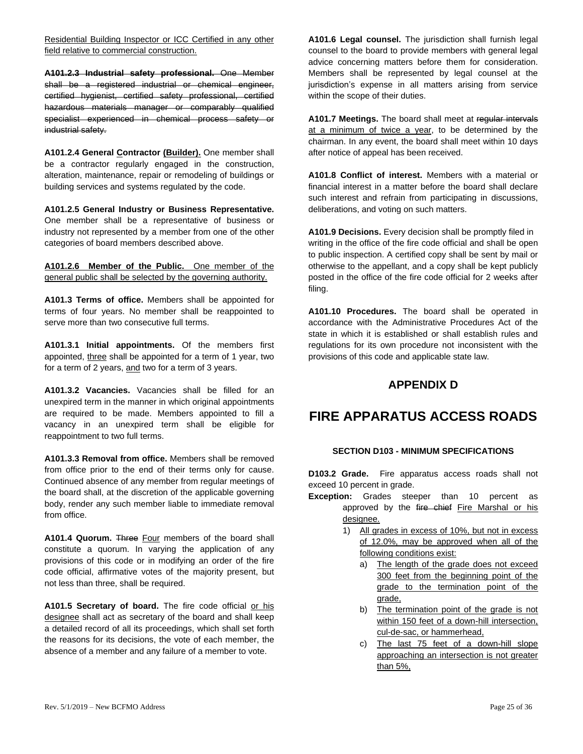Residential Building Inspector or ICC Certified in any other field relative to commercial construction.

**A101.2.3 Industrial safety professional.** One Member shall be a registered industrial or chemical engineer, certified hygienist, certified safety professional, certified hazardous materials manager or comparably qualified specialist experienced in chemical process safety or industrial safety.

**A101.2.4 General Contractor (Builder).** One member shall be a contractor regularly engaged in the construction, alteration, maintenance, repair or remodeling of buildings or building services and systems regulated by the code.

**A101.2.5 General Industry or Business Representative.** One member shall be a representative of business or industry not represented by a member from one of the other categories of board members described above.

**A101.2.6 Member of the Public.** One member of the general public shall be selected by the governing authority.

**A101.3 Terms of office.** Members shall be appointed for terms of four years. No member shall be reappointed to serve more than two consecutive full terms.

**A101.3.1 Initial appointments.** Of the members first appointed, three shall be appointed for a term of 1 year, two for a term of 2 years, and two for a term of 3 years.

**A101.3.2 Vacancies.** Vacancies shall be filled for an unexpired term in the manner in which original appointments are required to be made. Members appointed to fill a vacancy in an unexpired term shall be eligible for reappointment to two full terms.

**A101.3.3 Removal from office.** Members shall be removed from office prior to the end of their terms only for cause. Continued absence of any member from regular meetings of the board shall, at the discretion of the applicable governing body, render any such member liable to immediate removal from office.

**A101.4 Quorum.** Three Four members of the board shall constitute a quorum. In varying the application of any provisions of this code or in modifying an order of the fire code official, affirmative votes of the majority present, but not less than three, shall be required.

**A101.5 Secretary of board.** The fire code official or his designee shall act as secretary of the board and shall keep a detailed record of all its proceedings, which shall set forth the reasons for its decisions, the vote of each member, the absence of a member and any failure of a member to vote.

**A101.6 Legal counsel.** The jurisdiction shall furnish legal counsel to the board to provide members with general legal advice concerning matters before them for consideration. Members shall be represented by legal counsel at the jurisdiction's expense in all matters arising from service within the scope of their duties.

**A101.7 Meetings.** The board shall meet at regular intervals at a minimum of twice a year, to be determined by the chairman. In any event, the board shall meet within 10 days after notice of appeal has been received.

**A101.8 Conflict of interest.** Members with a material or financial interest in a matter before the board shall declare such interest and refrain from participating in discussions, deliberations, and voting on such matters.

**A101.9 Decisions.** Every decision shall be promptly filed in writing in the office of the fire code official and shall be open to public inspection. A certified copy shall be sent by mail or otherwise to the appellant, and a copy shall be kept publicly posted in the office of the fire code official for 2 weeks after filing.

**A101.10 Procedures.** The board shall be operated in accordance with the Administrative Procedures Act of the state in which it is established or shall establish rules and regulations for its own procedure not inconsistent with the provisions of this code and applicable state law.

# **APPENDIX D**

# <span id="page-24-0"></span>**FIRE APPARATUS ACCESS ROADS**

#### **SECTION D103 - MINIMUM SPECIFICATIONS**

<span id="page-24-1"></span>**D103.2 Grade.** Fire apparatus access roads shall not exceed 10 percent in grade.

- **Exception:** Grades steeper than 10 percent as approved by the fire chief Fire Marshal or his designee.
	- 1) All grades in excess of 10%, but not in excess of 12.0%, may be approved when all of the following conditions exist:
		- a) The length of the grade does not exceed 300 feet from the beginning point of the grade to the termination point of the grade,
		- b) The termination point of the grade is not within 150 feet of a down-hill intersection, cul-de-sac, or hammerhead,
		- c) The last 75 feet of a down-hill slope approaching an intersection is not greater than 5%,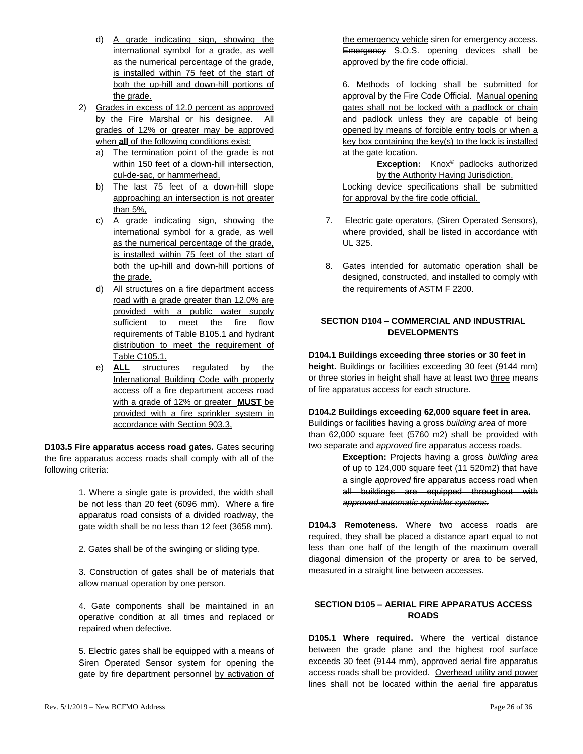- d) A grade indicating sign, showing the international symbol for a grade, as well as the numerical percentage of the grade, is installed within 75 feet of the start of both the up-hill and down-hill portions of the grade.
- 2) Grades in excess of 12.0 percent as approved by the Fire Marshal or his designee. All grades of 12% or greater may be approved when **all** of the following conditions exist:
	- a) The termination point of the grade is not within 150 feet of a down-hill intersection, cul-de-sac, or hammerhead,
	- b) The last 75 feet of a down-hill slope approaching an intersection is not greater than 5%,
	- c) A grade indicating sign, showing the international symbol for a grade, as well as the numerical percentage of the grade, is installed within 75 feet of the start of both the up-hill and down-hill portions of the grade.
	- d) All structures on a fire department access road with a grade greater than 12.0% are provided with a public water supply sufficient to meet the fire flow requirements of Table B105.1 and hydrant distribution to meet the requirement of Table C105.1.
	- e) **ALL** structures regulated by the International Building Code with property access off a fire department access road with a grade of 12% or greater **MUST** be provided with a fire sprinkler system in accordance with Section 903.3,

**D103.5 Fire apparatus access road gates.** Gates securing the fire apparatus access roads shall comply with all of the following criteria:

> 1. Where a single gate is provided, the width shall be not less than 20 feet (6096 mm). Where a fire apparatus road consists of a divided roadway, the gate width shall be no less than 12 feet (3658 mm).

2. Gates shall be of the swinging or sliding type.

3. Construction of gates shall be of materials that allow manual operation by one person.

4. Gate components shall be maintained in an operative condition at all times and replaced or repaired when defective.

5. Electric gates shall be equipped with a means of Siren Operated Sensor system for opening the gate by fire department personnel by activation of the emergency vehicle siren for emergency access. Emergency S.O.S. opening devices shall be approved by the fire code official.

6. Methods of locking shall be submitted for approval by the Fire Code Official. Manual opening gates shall not be locked with a padlock or chain and padlock unless they are capable of being opened by means of forcible entry tools or when a key box containing the key(s) to the lock is installed at the gate location.

**Exception:** Knox© padlocks authorized by the Authority Having Jurisdiction. Locking device specifications shall be submitted for approval by the fire code official.

- 7. Electric gate operators, (Siren Operated Sensors), where provided, shall be listed in accordance with UL 325.
- 8. Gates intended for automatic operation shall be designed, constructed, and installed to comply with the requirements of ASTM F 2200.

### <span id="page-25-0"></span>**SECTION D104 – COMMERCIAL AND INDUSTRIAL DEVELOPMENTS**

**D104.1 Buildings exceeding three stories or 30 feet in height.** Buildings or facilities exceeding 30 feet (9144 mm) or three stories in height shall have at least two three means of fire apparatus access for each structure.

**D104.2 Buildings exceeding 62,000 square feet in area.** Buildings or facilities having a gross *building area* of more

than 62,000 square feet (5760 m2) shall be provided with two separate and *approved* fire apparatus access roads.

**Exception:** Projects having a gross *building area*  of up to 124,000 square feet (11 520m2) that have a single *approved* fire apparatus access road when all buildings are equipped throughout with *approved automatic sprinkler systems.*

**D104.3 Remoteness.** Where two access roads are required, they shall be placed a distance apart equal to not less than one half of the length of the maximum overall diagonal dimension of the property or area to be served, measured in a straight line between accesses.

#### <span id="page-25-1"></span>**SECTION D105 – AERIAL FIRE APPARATUS ACCESS ROADS**

**D105.1 Where required.** Where the vertical distance between the grade plane and the highest roof surface exceeds 30 feet (9144 mm), approved aerial fire apparatus access roads shall be provided. Overhead utility and power lines shall not be located within the aerial fire apparatus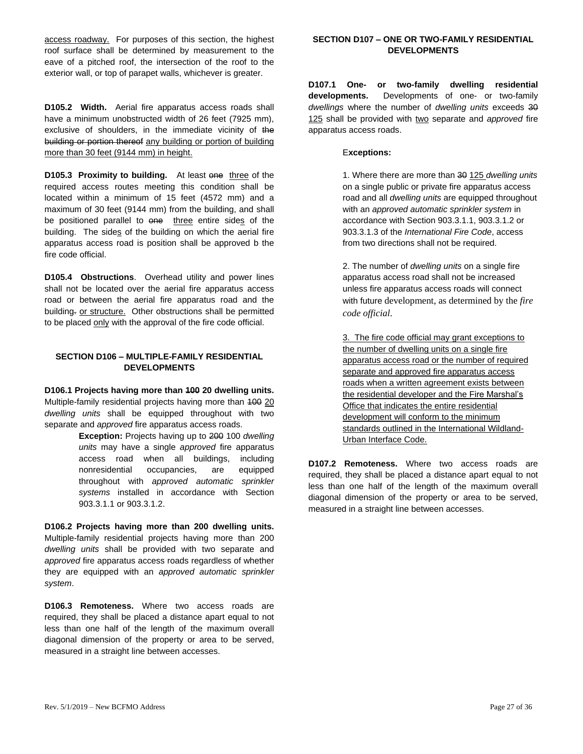access roadway. For purposes of this section, the highest roof surface shall be determined by measurement to the eave of a pitched roof, the intersection of the roof to the exterior wall, or top of parapet walls, whichever is greater.

**D105.2 Width.** Aerial fire apparatus access roads shall have a minimum unobstructed width of 26 feet (7925 mm). exclusive of shoulders, in the immediate vicinity of the building or portion thereof any building or portion of building more than 30 feet (9144 mm) in height.

**D105.3 Proximity to building.** At least one three of the required access routes meeting this condition shall be located within a minimum of 15 feet (4572 mm) and a maximum of 30 feet (9144 mm) from the building, and shall be positioned parallel to one three entire sides of the building. The sides of the building on which the aerial fire apparatus access road is position shall be approved b the fire code official.

**D105.4 Obstructions**. Overhead utility and power lines shall not be located over the aerial fire apparatus access road or between the aerial fire apparatus road and the building. or structure. Other obstructions shall be permitted to be placed only with the approval of the fire code official.

#### <span id="page-26-0"></span>**SECTION D106 – MULTIPLE-FAMILY RESIDENTIAL DEVELOPMENTS**

**D106.1 Projects having more than 100 20 dwelling units.**  Multiple-family residential projects having more than 100 20 *dwelling units* shall be equipped throughout with two separate and *approved* fire apparatus access roads.

> **Exception:** Projects having up to 200 100 *dwelling units* may have a single *approved* fire apparatus access road when all buildings, including nonresidential occupancies, are equipped throughout with *approved automatic sprinkler systems* installed in accordance with Section 903.3.1.1 or 903.3.1.2.

**D106.2 Projects having more than 200 dwelling units.**  Multiple-family residential projects having more than 200 *dwelling units* shall be provided with two separate and *approved* fire apparatus access roads regardless of whether they are equipped with an *approved automatic sprinkler system*.

**D106.3 Remoteness.** Where two access roads are required, they shall be placed a distance apart equal to not less than one half of the length of the maximum overall diagonal dimension of the property or area to be served, measured in a straight line between accesses.

#### <span id="page-26-1"></span>**SECTION D107 – ONE OR TWO-FAMILY RESIDENTIAL DEVELOPMENTS**

**D107.1 One- or two-family dwelling residential developments.** Developments of one- or two-family *dwellings* where the number of *dwelling units* exceeds 30 125 shall be provided with two separate and *approved* fire apparatus access roads.

#### E**xceptions:**

1. Where there are more than 30 125 *dwelling units*  on a single public or private fire apparatus access road and all *dwelling units* are equipped throughout with an *approved automatic sprinkler system* in accordance with Section 903.3.1.1, 903.3.1.2 or 903.3.1.3 of the *International Fire Code*, access from two directions shall not be required.

2. The number of *dwelling units* on a single fire apparatus access road shall not be increased unless fire apparatus access roads will connect with future development, as determined by the *fire code official*.

3. The fire code official may grant exceptions to the number of dwelling units on a single fire apparatus access road or the number of required separate and approved fire apparatus access roads when a written agreement exists between the residential developer and the Fire Marshal's Office that indicates the entire residential development will conform to the minimum standards outlined in the International Wildland-Urban Interface Code.

**D107.2 Remoteness.** Where two access roads are required, they shall be placed a distance apart equal to not less than one half of the length of the maximum overall diagonal dimension of the property or area to be served, measured in a straight line between accesses.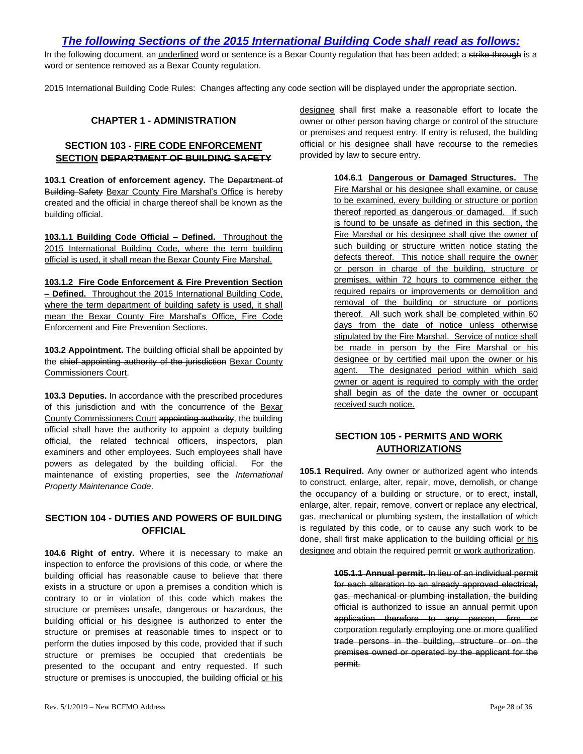# *The following Sections of the 2015 International Building Code shall read as follows:*

In the following document, an underlined word or sentence is a Bexar County regulation that has been added; a strike-through is a word or sentence removed as a Bexar County regulation.

2015 International Building Code Rules: Changes affecting any code section will be displayed under the appropriate section.

#### **CHAPTER 1 - ADMINISTRATION**

#### <span id="page-27-1"></span><span id="page-27-0"></span>**SECTION 103 - FIRE CODE ENFORCEMENT SECTION DEPARTMENT OF BUILDING SAFETY**

**103.1 Creation of enforcement agency.** The Department of Building Safety Bexar County Fire Marshal's Office is hereby created and the official in charge thereof shall be known as the building official.

**103.1.1 Building Code Official – Defined.** Throughout the 2015 International Building Code, where the term building official is used, it shall mean the Bexar County Fire Marshal.

**103.1.2 Fire Code Enforcement & Fire Prevention Section – Defined.** Throughout the 2015 International Building Code, where the term department of building safety is used, it shall mean the Bexar County Fire Marshal's Office, Fire Code Enforcement and Fire Prevention Sections.

**103.2 Appointment.** The building official shall be appointed by the chief appointing authority of the jurisdiction Bexar County Commissioners Court.

**103.3 Deputies.** In accordance with the prescribed procedures of this jurisdiction and with the concurrence of the Bexar County Commissioners Court appointing authority, the building official shall have the authority to appoint a deputy building official, the related technical officers, inspectors, plan examiners and other employees. Such employees shall have powers as delegated by the building official. For the maintenance of existing properties, see the *International Property Maintenance Code*.

#### <span id="page-27-2"></span>**SECTION 104 - DUTIES AND POWERS OF BUILDING OFFICIAL**

**104.6 Right of entry.** Where it is necessary to make an inspection to enforce the provisions of this code, or where the building official has reasonable cause to believe that there exists in a structure or upon a premises a condition which is contrary to or in violation of this code which makes the structure or premises unsafe, dangerous or hazardous, the building official or his designee is authorized to enter the structure or premises at reasonable times to inspect or to perform the duties imposed by this code, provided that if such structure or premises be occupied that credentials be presented to the occupant and entry requested. If such structure or premises is unoccupied, the building official or his designee shall first make a reasonable effort to locate the owner or other person having charge or control of the structure or premises and request entry. If entry is refused, the building official or his designee shall have recourse to the remedies provided by law to secure entry.

> **104.6.1 Dangerous or Damaged Structures.** The Fire Marshal or his designee shall examine, or cause to be examined, every building or structure or portion thereof reported as dangerous or damaged. If such is found to be unsafe as defined in this section, the Fire Marshal or his designee shall give the owner of such building or structure written notice stating the defects thereof. This notice shall require the owner or person in charge of the building, structure or premises, within 72 hours to commence either the required repairs or improvements or demolition and removal of the building or structure or portions thereof. All such work shall be completed within 60 days from the date of notice unless otherwise stipulated by the Fire Marshal. Service of notice shall be made in person by the Fire Marshal or his designee or by certified mail upon the owner or his agent. The designated period within which said owner or agent is required to comply with the order shall begin as of the date the owner or occupant received such notice.

### **SECTION 105 - PERMITS AND WORK AUTHORIZATIONS**

<span id="page-27-3"></span>**105.1 Required.** Any owner or authorized agent who intends to construct, enlarge, alter, repair, move, demolish, or change the occupancy of a building or structure, or to erect, install, enlarge, alter, repair, remove, convert or replace any electrical, gas, mechanical or plumbing system, the installation of which is regulated by this code, or to cause any such work to be done, shall first make application to the building official or his designee and obtain the required permit or work authorization.

> **105.1.1 Annual permit.** In lieu of an individual permit for each alteration to an already approved electrical, gas, mechanical or plumbing installation, the building official is authorized to issue an annual permit upon application therefore to any person, firm or corporation regularly employing one or more qualified trade persons in the building, structure or on the premises owned or operated by the applicant for the permit.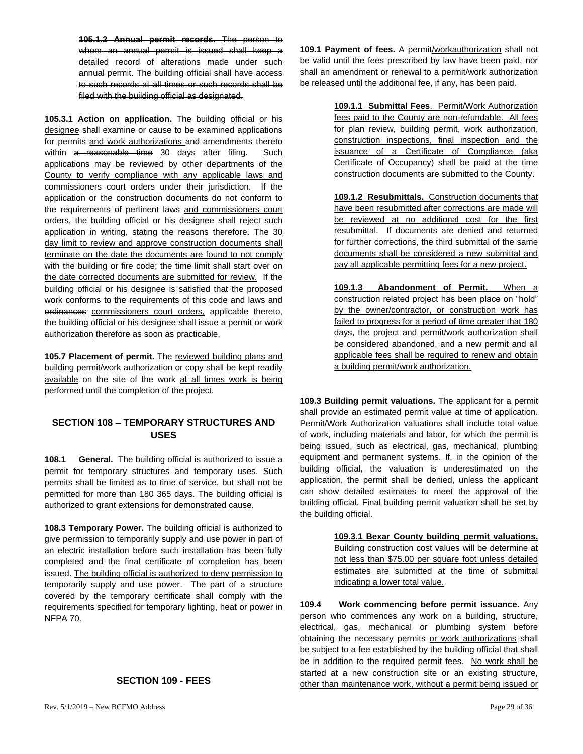**105.1.2 Annual permit records.** The person to whom an annual permit is issued shall keep a detailed record of alterations made under such annual permit. The building official shall have access to such records at all times or such records shall be filed with the building official as designated.

**105.3.1 Action on application.** The building official or his designee shall examine or cause to be examined applications for permits and work authorizations and amendments thereto within a reasonable time 30 days after filing. Such applications may be reviewed by other departments of the County to verify compliance with any applicable laws and commissioners court orders under their jurisdiction. If the application or the construction documents do not conform to the requirements of pertinent laws and commissioners court orders, the building official or his designee shall reject such application in writing, stating the reasons therefore. The 30 day limit to review and approve construction documents shall terminate on the date the documents are found to not comply with the building or fire code; the time limit shall start over on the date corrected documents are submitted for review. If the building official or his designee is satisfied that the proposed work conforms to the requirements of this code and laws and ordinances commissioners court orders, applicable thereto, the building official or his designee shall issue a permit or work authorization therefore as soon as practicable.

**105.7 Placement of permit.** The reviewed building plans and building permit/work authorization or copy shall be kept readily available on the site of the work at all times work is being performed until the completion of the project.

#### <span id="page-28-0"></span>**SECTION 108 – TEMPORARY STRUCTURES AND USES**

**108.1 General.** The building official is authorized to issue a permit for temporary structures and temporary uses. Such permits shall be limited as to time of service, but shall not be permitted for more than 480 365 days. The building official is authorized to grant extensions for demonstrated cause.

**108.3 Temporary Power.** The building official is authorized to give permission to temporarily supply and use power in part of an electric installation before such installation has been fully completed and the final certificate of completion has been issued. The building official is authorized to deny permission to temporarily supply and use power. The part of a structure covered by the temporary certificate shall comply with the requirements specified for temporary lighting, heat or power in NFPA 70.

### <span id="page-28-1"></span>**SECTION 109 - FEES**

**109.1 Payment of fees.** A permit/workauthorization shall not be valid until the fees prescribed by law have been paid, nor shall an amendment or renewal to a permit/work authorization be released until the additional fee, if any, has been paid.

> **109.1.1 Submittal Fees**. Permit/Work Authorization fees paid to the County are non-refundable. All fees for plan review, building permit, work authorization, construction inspections, final inspection and the issuance of a Certificate of Compliance (aka Certificate of Occupancy) shall be paid at the time construction documents are submitted to the County.

> **109.1.2 Resubmittals.** Construction documents that have been resubmitted after corrections are made will be reviewed at no additional cost for the first resubmittal. If documents are denied and returned for further corrections, the third submittal of the same documents shall be considered a new submittal and pay all applicable permitting fees for a new project.

> **109.1.3 Abandonment of Permit.** When a construction related project has been place on "hold" by the owner/contractor, or construction work has failed to progress for a period of time greater that 180 days, the project and permit/work authorization shall be considered abandoned, and a new permit and all applicable fees shall be required to renew and obtain a building permit/work authorization.

**109.3 Building permit valuations.** The applicant for a permit shall provide an estimated permit value at time of application. Permit/Work Authorization valuations shall include total value of work, including materials and labor, for which the permit is being issued, such as electrical, gas, mechanical, plumbing equipment and permanent systems. If, in the opinion of the building official, the valuation is underestimated on the application, the permit shall be denied, unless the applicant can show detailed estimates to meet the approval of the building official. Final building permit valuation shall be set by the building official.

> **109.3.1 Bexar County building permit valuations.**  Building construction cost values will be determine at not less than \$75.00 per square foot unless detailed estimates are submitted at the time of submittal indicating a lower total value.

**109.4 Work commencing before permit issuance.** Any person who commences any work on a building, structure, electrical, gas, mechanical or plumbing system before obtaining the necessary permits or work authorizations shall be subject to a fee established by the building official that shall be in addition to the required permit fees. No work shall be started at a new construction site or an existing structure, other than maintenance work, without a permit being issued or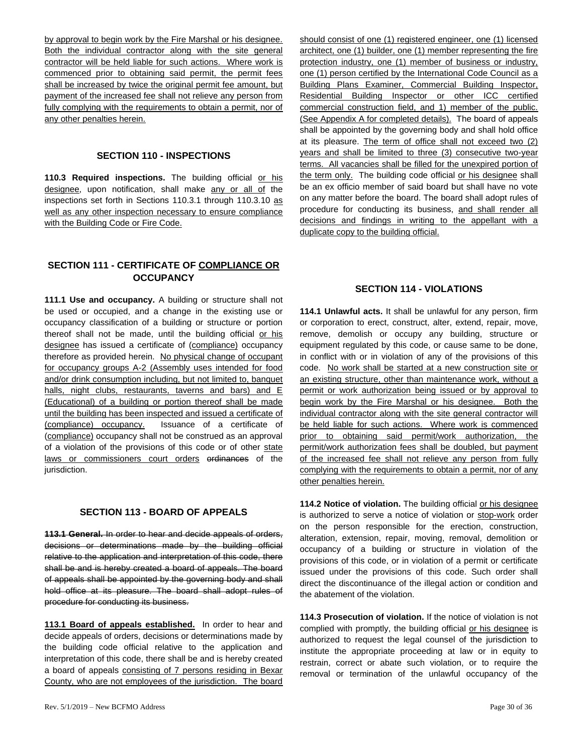by approval to begin work by the Fire Marshal or his designee. Both the individual contractor along with the site general contractor will be held liable for such actions. Where work is commenced prior to obtaining said permit, the permit fees shall be increased by twice the original permit fee amount, but payment of the increased fee shall not relieve any person from fully complying with the requirements to obtain a permit, nor of any other penalties herein.

#### **SECTION 110 - INSPECTIONS**

<span id="page-29-0"></span>110.3 Required inspections. The building official or his designee, upon notification, shall make any or all of the inspections set forth in Sections 110.3.1 through 110.3.10 as well as any other inspection necessary to ensure compliance with the Building Code or Fire Code.

### <span id="page-29-1"></span>**SECTION 111 - CERTIFICATE OF COMPLIANCE OR OCCUPANCY**

**111.1 Use and occupancy.** A building or structure shall not be used or occupied, and a change in the existing use or occupancy classification of a building or structure or portion thereof shall not be made, until the building official or his designee has issued a certificate of (compliance) occupancy therefore as provided herein. No physical change of occupant for occupancy groups A-2 (Assembly uses intended for food and/or drink consumption including, but not limited to, banquet halls, night clubs, restaurants, taverns and bars) and E (Educational) of a building or portion thereof shall be made until the building has been inspected and issued a certificate of (compliance) occupancy. Issuance of a certificate of (compliance) occupancy shall not be construed as an approval of a violation of the provisions of this code or of other state laws or commissioners court orders erdinances of the jurisdiction.

#### **SECTION 113 - BOARD OF APPEALS**

<span id="page-29-2"></span>**113.1 General.** In order to hear and decide appeals of orders, decisions or determinations made by the building official relative to the application and interpretation of this code, there shall be and is hereby created a board of appeals. The board of appeals shall be appointed by the governing body and shall hold office at its pleasure. The board shall adopt rules of procedure for conducting its business.

**113.1 Board of appeals established.** In order to hear and decide appeals of orders, decisions or determinations made by the building code official relative to the application and interpretation of this code, there shall be and is hereby created a board of appeals consisting of 7 persons residing in Bexar County, who are not employees of the jurisdiction. The board

Rev.  $5/1/2019$  – New BCFMO Address Page 30 of 36

should consist of one (1) registered engineer, one (1) licensed architect, one (1) builder, one (1) member representing the fire protection industry, one (1) member of business or industry, one (1) person certified by the International Code Council as a Building Plans Examiner, Commercial Building Inspector, Residential Building Inspector or other ICC certified commercial construction field, and 1) member of the public. (See Appendix A for completed details). The board of appeals shall be appointed by the governing body and shall hold office at its pleasure. The term of office shall not exceed two (2) years and shall be limited to three (3) consecutive two-year terms. All vacancies shall be filled for the unexpired portion of the term only. The building code official or his designee shall be an ex officio member of said board but shall have no vote on any matter before the board. The board shall adopt rules of procedure for conducting its business, and shall render all decisions and findings in writing to the appellant with a duplicate copy to the building official.

#### **SECTION 114 - VIOLATIONS**

<span id="page-29-3"></span>**114.1 Unlawful acts.** It shall be unlawful for any person, firm or corporation to erect, construct, alter, extend, repair, move, remove, demolish or occupy any building, structure or equipment regulated by this code, or cause same to be done, in conflict with or in violation of any of the provisions of this code. No work shall be started at a new construction site or an existing structure, other than maintenance work, without a permit or work authorization being issued or by approval to begin work by the Fire Marshal or his designee. Both the individual contractor along with the site general contractor will be held liable for such actions. Where work is commenced prior to obtaining said permit/work authorization, the permit/work authorization fees shall be doubled, but payment of the increased fee shall not relieve any person from fully complying with the requirements to obtain a permit, nor of any other penalties herein.

**114.2 Notice of violation.** The building official or his designee is authorized to serve a notice of violation or stop-work order on the person responsible for the erection, construction, alteration, extension, repair, moving, removal, demolition or occupancy of a building or structure in violation of the provisions of this code, or in violation of a permit or certificate issued under the provisions of this code. Such order shall direct the discontinuance of the illegal action or condition and the abatement of the violation.

**114.3 Prosecution of violation.** If the notice of violation is not complied with promptly, the building official or his designee is authorized to request the legal counsel of the jurisdiction to institute the appropriate proceeding at law or in equity to restrain, correct or abate such violation, or to require the removal or termination of the unlawful occupancy of the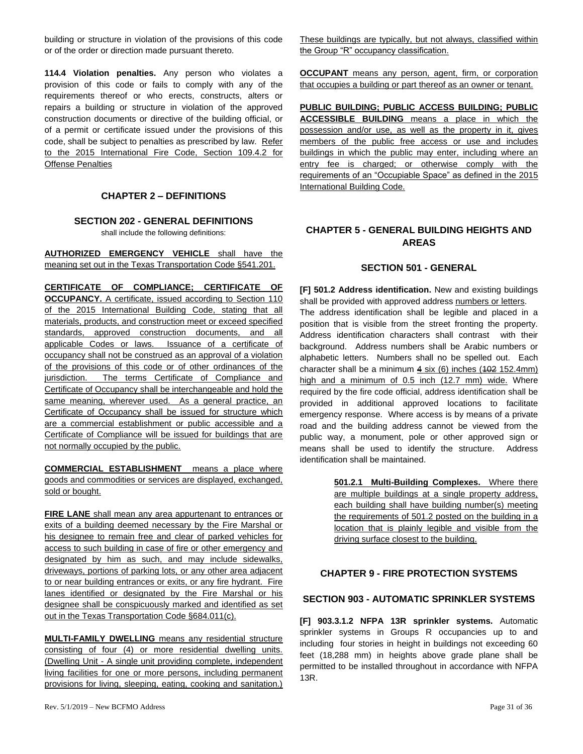building or structure in violation of the provisions of this code or of the order or direction made pursuant thereto.

**114.4 Violation penalties.** Any person who violates a provision of this code or fails to comply with any of the requirements thereof or who erects, constructs, alters or repairs a building or structure in violation of the approved construction documents or directive of the building official, or of a permit or certificate issued under the provisions of this code, shall be subject to penalties as prescribed by law. Refer to the 2015 International Fire Code, Section 109.4.2 for Offense Penalties

### **CHAPTER 2 – DEFINITIONS**

#### <span id="page-30-1"></span><span id="page-30-0"></span>**SECTION 202 - GENERAL DEFINITIONS**

shall include the following definitions:

**AUTHORIZED EMERGENCY VEHICLE** shall have the meaning set out in the Texas Transportation Code §541.201.

**CERTIFICATE OF COMPLIANCE; CERTIFICATE OF OCCUPANCY.** A certificate, issued according to Section 110 of the 2015 International Building Code, stating that all materials, products, and construction meet or exceed specified standards, approved construction documents, and all applicable Codes or laws. Issuance of a certificate of occupancy shall not be construed as an approval of a violation of the provisions of this code or of other ordinances of the jurisdiction. The terms Certificate of Compliance and Certificate of Occupancy shall be interchangeable and hold the same meaning, wherever used. As a general practice, an Certificate of Occupancy shall be issued for structure which are a commercial establishment or public accessible and a Certificate of Compliance will be issued for buildings that are not normally occupied by the public.

**COMMERCIAL ESTABLISHMENT** means a place where goods and commodities or services are displayed, exchanged, sold or bought.

**FIRE LANE** shall mean any area appurtenant to entrances or exits of a building deemed necessary by the Fire Marshal or his designee to remain free and clear of parked vehicles for access to such building in case of fire or other emergency and designated by him as such, and may include sidewalks, driveways, portions of parking lots, or any other area adjacent to or near building entrances or exits, or any fire hydrant. Fire lanes identified or designated by the Fire Marshal or his designee shall be conspicuously marked and identified as set out in the Texas Transportation Code §684.011(c).

**MULTI-FAMILY DWELLING** means any residential structure consisting of four (4) or more residential dwelling units. (Dwelling Unit - A single unit providing complete, independent living facilities for one or more persons, including permanent provisions for living, sleeping, eating, cooking and sanitation.)

These buildings are typically, but not always, classified within the Group "R" occupancy classification.

**OCCUPANT** means any person, agent, firm, or corporation that occupies a building or part thereof as an owner or tenant.

**PUBLIC BUILDING; PUBLIC ACCESS BUILDING; PUBLIC ACCESSIBLE BUILDING** means a place in which the possession and/or use, as well as the property in it, gives members of the public free access or use and includes buildings in which the public may enter, including where an entry fee is charged; or otherwise comply with the requirements of an "Occupiable Space" as defined in the 2015 International Building Code.

### <span id="page-30-2"></span>**CHAPTER 5 - GENERAL BUILDING HEIGHTS AND AREAS**

#### **SECTION 501 - GENERAL**

<span id="page-30-3"></span>**[F] 501.2 Address identification.** New and existing buildings shall be provided with approved address numbers or letters. The address identification shall be legible and placed in a position that is visible from the street fronting the property. Address identification characters shall contrast with their background. Address numbers shall be Arabic numbers or alphabetic letters. Numbers shall no be spelled out. Each character shall be a minimum  $4 \text{ six } (6)$  inches  $(102 \text{ 152.4mm})$ high and a minimum of 0.5 inch (12.7 mm) wide. Where required by the fire code official, address identification shall be provided in additional approved locations to facilitate emergency response. Where access is by means of a private road and the building address cannot be viewed from the public way, a monument, pole or other approved sign or means shall be used to identify the structure. Address identification shall be maintained.

> **501.2.1 Multi-Building Complexes.** Where there are multiple buildings at a single property address, each building shall have building number(s) meeting the requirements of 501.2 posted on the building in a location that is plainly legible and visible from the driving surface closest to the building.

#### <span id="page-30-4"></span>**CHAPTER 9 - FIRE PROTECTION SYSTEMS**

#### <span id="page-30-5"></span>**SECTION 903 - AUTOMATIC SPRINKLER SYSTEMS**

**[F] 903.3.1.2 NFPA 13R sprinkler systems.** Automatic sprinkler systems in Groups R occupancies up to and including four stories in height in buildings not exceeding 60 feet (18,288 mm) in heights above grade plane shall be permitted to be installed throughout in accordance with NFPA 13R.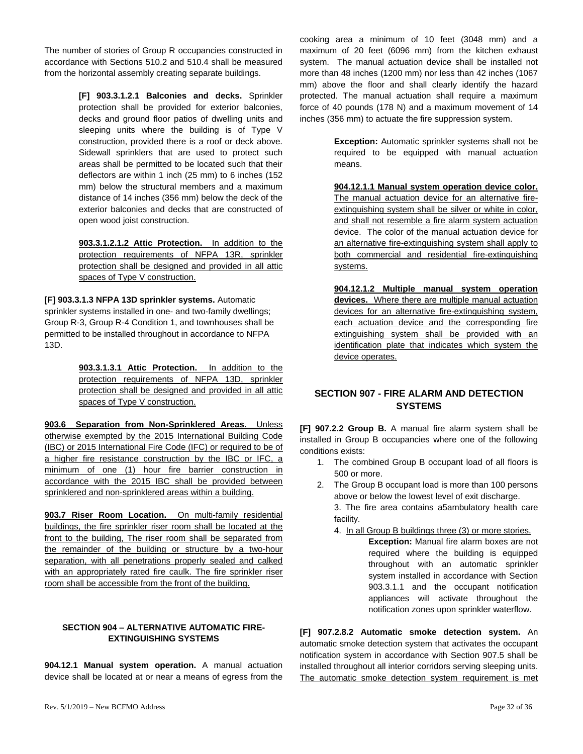The number of stories of Group R occupancies constructed in accordance with Sections 510.2 and 510.4 shall be measured from the horizontal assembly creating separate buildings.

> **[F] 903.3.1.2.1 Balconies and decks.** Sprinkler protection shall be provided for exterior balconies, decks and ground floor patios of dwelling units and sleeping units where the building is of Type V construction, provided there is a roof or deck above. Sidewall sprinklers that are used to protect such areas shall be permitted to be located such that their deflectors are within 1 inch (25 mm) to 6 inches (152 mm) below the structural members and a maximum distance of 14 inches (356 mm) below the deck of the exterior balconies and decks that are constructed of open wood joist construction.

> **903.3.1.2.1.2 Attic Protection.** In addition to the protection requirements of NFPA 13R, sprinkler protection shall be designed and provided in all attic spaces of Type V construction.

**[F] 903.3.1.3 NFPA 13D sprinkler systems.** Automatic sprinkler systems installed in one- and two-family dwellings; Group R-3, Group R-4 Condition 1, and townhouses shall be permitted to be installed throughout in accordance to NFPA 13D.

> **903.3.1.3.1 Attic Protection.** In addition to the protection requirements of NFPA 13D, sprinkler protection shall be designed and provided in all attic spaces of Type V construction.

**903.6 Separation from Non-Sprinklered Areas.** Unless otherwise exempted by the 2015 International Building Code (IBC) or 2015 International Fire Code (IFC) or required to be of a higher fire resistance construction by the IBC or IFC, a minimum of one (1) hour fire barrier construction in accordance with the 2015 IBC shall be provided between sprinklered and non-sprinklered areas within a building.

**903.7 Riser Room Location.** On multi-family residential buildings, the fire sprinkler riser room shall be located at the front to the building, The riser room shall be separated from the remainder of the building or structure by a two-hour separation, with all penetrations properly sealed and calked with an appropriately rated fire caulk. The fire sprinkler riser room shall be accessible from the front of the building.

#### <span id="page-31-0"></span>**SECTION 904 – ALTERNATIVE AUTOMATIC FIRE-EXTINGUISHING SYSTEMS**

**904.12.1 Manual system operation.** A manual actuation device shall be located at or near a means of egress from the

cooking area a minimum of 10 feet (3048 mm) and a maximum of 20 feet (6096 mm) from the kitchen exhaust system. The manual actuation device shall be installed not more than 48 inches (1200 mm) nor less than 42 inches (1067 mm) above the floor and shall clearly identify the hazard protected. The manual actuation shall require a maximum force of 40 pounds (178 N) and a maximum movement of 14 inches (356 mm) to actuate the fire suppression system.

> **Exception:** Automatic sprinkler systems shall not be required to be equipped with manual actuation means.

> **904.12.1.1 Manual system operation device color.**  The manual actuation device for an alternative fireextinguishing system shall be silver or white in color, and shall not resemble a fire alarm system actuation device. The color of the manual actuation device for an alternative fire-extinguishing system shall apply to both commercial and residential fire-extinguishing systems.

> **904.12.1.2 Multiple manual system operation devices.** Where there are multiple manual actuation devices for an alternative fire-extinguishing system, each actuation device and the corresponding fire extinguishing system shall be provided with an identification plate that indicates which system the device operates.

### <span id="page-31-1"></span>**SECTION 907 - FIRE ALARM AND DETECTION SYSTEMS**

**[F] 907.2.2 Group B.** A manual fire alarm system shall be installed in Group B occupancies where one of the following conditions exists:

- 1. The combined Group B occupant load of all floors is 500 or more.
- 2. The Group B occupant load is more than 100 persons above or below the lowest level of exit discharge.

3. The fire area contains a5ambulatory health care facility.

4. In all Group B buildings three (3) or more stories.

**Exception:** Manual fire alarm boxes are not required where the building is equipped throughout with an automatic sprinkler system installed in accordance with Section 903.3.1.1 and the occupant notification appliances will activate throughout the notification zones upon sprinkler waterflow.

**[F] 907.2.8.2 Automatic smoke detection system.** An automatic smoke detection system that activates the occupant notification system in accordance with Section 907.5 shall be installed throughout all interior corridors serving sleeping units. The automatic smoke detection system requirement is met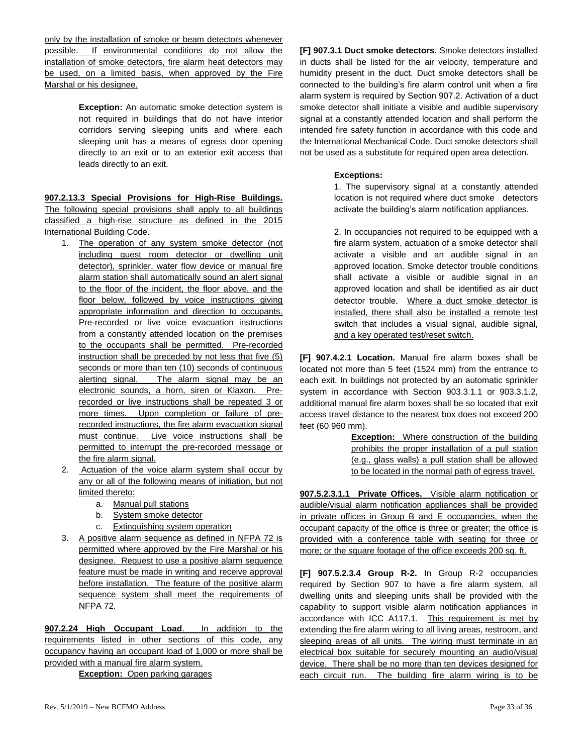only by the installation of smoke or beam detectors whenever possible. If environmental conditions do not allow the installation of smoke detectors, fire alarm heat detectors may be used, on a limited basis, when approved by the Fire Marshal or his designee.

> **Exception:** An automatic smoke detection system is not required in buildings that do not have interior corridors serving sleeping units and where each sleeping unit has a means of egress door opening directly to an exit or to an exterior exit access that leads directly to an exit.

**907.2.13.3 Special Provisions for High-Rise Buildings.**  The following special provisions shall apply to all buildings classified a high-rise structure as defined in the 2015 International Building Code.

- 1. The operation of any system smoke detector (not including guest room detector or dwelling unit detector), sprinkler, water flow device or manual fire alarm station shall automatically sound an alert signal to the floor of the incident, the floor above, and the floor below, followed by voice instructions giving appropriate information and direction to occupants. Pre-recorded or live voice evacuation instructions from a constantly attended location on the premises to the occupants shall be permitted. Pre-recorded instruction shall be preceded by not less that five (5) seconds or more than ten (10) seconds of continuous alerting signal. The alarm signal may be an electronic sounds, a horn, siren or Klaxon. Prerecorded or live instructions shall be repeated 3 or more times. Upon completion or failure of prerecorded instructions, the fire alarm evacuation signal must continue. Live voice instructions shall be permitted to interrupt the pre-recorded message or the fire alarm signal.
- 2. Actuation of the voice alarm system shall occur by any or all of the following means of initiation, but not limited thereto:
	- a. Manual pull stations
	- b. System smoke detector
	- c. Extinguishing system operation
- 3. A positive alarm sequence as defined in NFPA 72 is permitted where approved by the Fire Marshal or his designee. Request to use a positive alarm sequence feature must be made in writing and receive approval before installation. The feature of the positive alarm sequence system shall meet the requirements of NFPA 72.

**907.2.24 High Occupant Load**. In addition to the requirements listed in other sections of this code, any occupancy having an occupant load of 1,000 or more shall be provided with a manual fire alarm system.

**Exception:** Open parking garages

**[F] 907.3.1 Duct smoke detectors.** Smoke detectors installed in ducts shall be listed for the air velocity, temperature and humidity present in the duct. Duct smoke detectors shall be connected to the building's fire alarm control unit when a fire alarm system is required by Section 907.2. Activation of a duct smoke detector shall initiate a visible and audible supervisory signal at a constantly attended location and shall perform the intended fire safety function in accordance with this code and the International Mechanical Code. Duct smoke detectors shall not be used as a substitute for required open area detection.

#### **Exceptions:**

1. The supervisory signal at a constantly attended location is not required where duct smoke detectors activate the building's alarm notification appliances.

2. In occupancies not required to be equipped with a fire alarm system, actuation of a smoke detector shall activate a visible and an audible signal in an approved location. Smoke detector trouble conditions shall activate a visible or audible signal in an approved location and shall be identified as air duct detector trouble. Where a duct smoke detector is installed, there shall also be installed a remote test switch that includes a visual signal, audible signal, and a key operated test/reset switch.

**[F] 907.4.2.1 Location.** Manual fire alarm boxes shall be located not more than 5 feet (1524 mm) from the entrance to each exit. In buildings not protected by an automatic sprinkler system in accordance with Section 903.3.1.1 or 903.3.1.2, additional manual fire alarm boxes shall be so located that exit access travel distance to the nearest box does not exceed 200 feet (60 960 mm).

> **Exception:** Where construction of the building prohibits the proper installation of a pull station (e.g., glass walls) a pull station shall be allowed to be located in the normal path of egress travel.

**907.5.2.3.1.1 Private Offices.** Visible alarm notification or audible/visual alarm notification appliances shall be provided in private offices in Group B and E occupancies, when the occupant capacity of the office is three or greater; the office is provided with a conference table with seating for three or more; or the square footage of the office exceeds 200 sq. ft.

**[F] 907.5.2.3.4 Group R-2.** In Group R-2 occupancies required by Section 907 to have a fire alarm system, all dwelling units and sleeping units shall be provided with the capability to support visible alarm notification appliances in accordance with ICC A117.1. This requirement is met by extending the fire alarm wiring to all living areas, restroom, and sleeping areas of all units. The wiring must terminate in an electrical box suitable for securely mounting an audio/visual device. There shall be no more than ten devices designed for each circuit run. The building fire alarm wiring is to be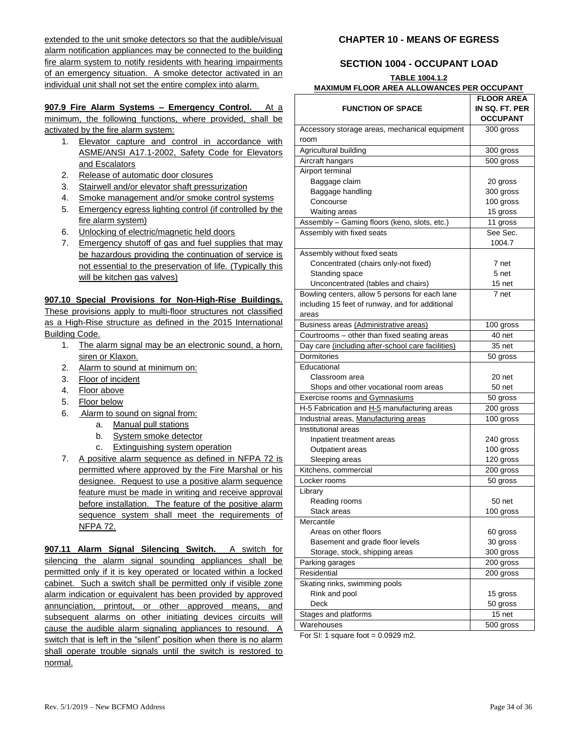extended to the unit smoke detectors so that the audible/visual alarm notification appliances may be connected to the building fire alarm system to notify residents with hearing impairments of an emergency situation. A smoke detector activated in an individual unit shall not set the entire complex into alarm.

#### **907.9 Fire Alarm Systems – Emergency Control.** At a

minimum, the following functions, where provided, shall be activated by the fire alarm system:

- 1. Elevator capture and control in accordance with ASME/ANSI A17.1-2002, Safety Code for Elevators and Escalators
- 2. Release of automatic door closures
- 3. Stairwell and/or elevator shaft pressurization
- 4. Smoke management and/or smoke control systems
- 5. Emergency egress lighting control (if controlled by the fire alarm system)
- 6. Unlocking of electric/magnetic held doors
- 7. Emergency shutoff of gas and fuel supplies that may be hazardous providing the continuation of service is not essential to the preservation of life. (Typically this will be kitchen gas valves)

#### **907.10 Special Provisions for Non-High-Rise Buildings.**

These provisions apply to multi-floor structures not classified as a High-Rise structure as defined in the 2015 International Building Code.

- 1. The alarm signal may be an electronic sound, a horn, siren or Klaxon.
- 2. Alarm to sound at minimum on:
- 3. Floor of incident
- 4. Floor above
- 5. Floor below
- 6. Alarm to sound on signal from:
	- a. Manual pull stations
	- b. System smoke detector
	- c. Extinguishing system operation
- 7. A positive alarm sequence as defined in NFPA 72 is permitted where approved by the Fire Marshal or his designee. Request to use a positive alarm sequence feature must be made in writing and receive approval before installation. The feature of the positive alarm sequence system shall meet the requirements of NFPA 72.

**907.11 Alarm Signal Silencing Switch.** A switch for silencing the alarm signal sounding appliances shall be permitted only if it is key operated or located within a locked cabinet. Such a switch shall be permitted only if visible zone alarm indication or equivalent has been provided by approved annunciation, printout, or other approved means, and subsequent alarms on other initiating devices circuits will cause the audible alarm signaling appliances to resound. A switch that is left in the "silent" position when there is no alarm shall operate trouble signals until the switch is restored to normal.

#### <span id="page-33-0"></span>**CHAPTER 10 - MEANS OF EGRESS**

# **SECTION 1004 - OCCUPANT LOAD**

#### <span id="page-33-1"></span>**TABLE 1004.1.2 MAXIMUM FLOOR AREA ALLOWANCES PER OCCUPANT**

|                                                   | <b>FLOOR AREA</b> |
|---------------------------------------------------|-------------------|
| <b>FUNCTION OF SPACE</b>                          | IN SQ. FT. PER    |
|                                                   | <b>OCCUPANT</b>   |
| Accessory storage areas, mechanical equipment     | 300 gross         |
| room                                              |                   |
| Agricultural building                             | 300 gross         |
| Aircraft hangars                                  | 500 gross         |
| Airport terminal                                  |                   |
| Baggage claim                                     | 20 gross          |
| Baggage handling                                  | 300 gross         |
| Concourse                                         | 100 gross         |
| Waiting areas                                     | 15 gross          |
| Assembly - Gaming floors (keno, slots, etc.)      | 11 gross          |
| Assembly with fixed seats                         | See Sec.          |
|                                                   | 1004.7            |
| Assembly without fixed seats                      |                   |
| Concentrated (chairs only-not fixed)              | 7 net             |
| Standing space                                    | 5 net             |
| Unconcentrated (tables and chairs)                | 15 net            |
| Bowling centers, allow 5 persons for each lane    | 7 net             |
| including 15 feet of runway, and for additional   |                   |
| areas                                             |                   |
| Business areas (Administrative areas)             | 100 gross         |
| Courtrooms - other than fixed seating areas       | 40 net            |
| Day care (including after-school care facilities) | 35 net            |
| Dormitories                                       | 50 gross          |
| Educational                                       |                   |
| Classroom area                                    | 20 net            |
| Shops and other vocational room areas             | 50 net            |
| Exercise rooms and Gymnasiums                     | 50 gross          |
| H-5 Fabrication and H-5 manufacturing areas       | $200$ gross       |
| Industrial areas, Manufacturing areas             | 100 gross         |
| Institutional areas                               |                   |
| Inpatient treatment areas                         | 240 gross         |
| Outpatient areas                                  | 100 gross         |
| Sleeping areas                                    | 120 gross         |
| Kitchens, commercial                              | 200 gross         |
| Locker rooms                                      | 50 gross          |
| Library                                           |                   |
| Reading rooms                                     | 50 <sub>net</sub> |
| Stack areas                                       | 100 gross         |
| Mercantile                                        |                   |
| Areas on other floors                             | 60 gross          |
| Basement and grade floor levels                   | 30 gross          |
| Storage, stock, shipping areas                    | 300 gross         |
| Parking garages                                   | 200 gross         |
| Residential                                       | 200 gross         |
| Skating rinks, swimming pools                     |                   |
| Rink and pool                                     | 15 gross          |
| Deck                                              | 50 gross          |
| Stages and platforms                              | 15 net            |
| Warehouses                                        | 500 gross         |

For SI: 1 square foot =  $0.0929$  m2.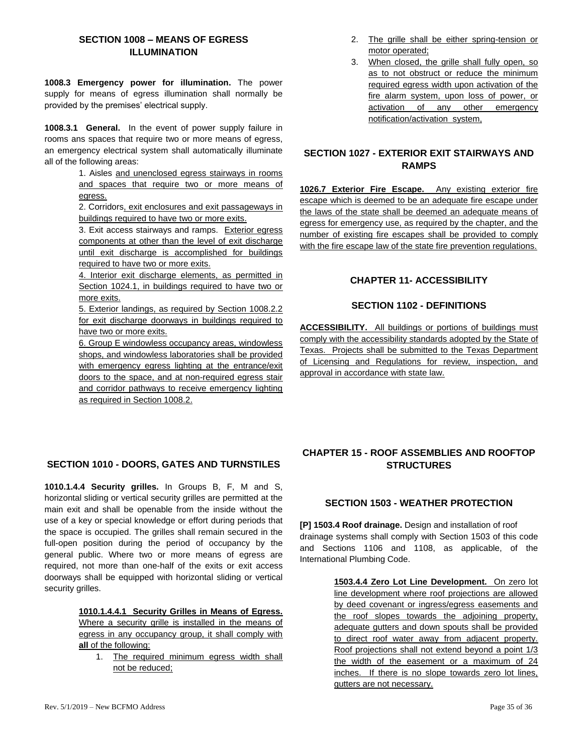# <span id="page-34-0"></span>**SECTION 1008 – MEANS OF EGRESS ILLUMINATION**

**1008.3 Emergency power for illumination.** The power supply for means of egress illumination shall normally be provided by the premises' electrical supply.

**1008.3.1 General.** In the event of power supply failure in rooms ans spaces that require two or more means of egress, an emergency electrical system shall automatically illuminate all of the following areas:

> 1. Aisles and unenclosed egress stairways in rooms and spaces that require two or more means of egress.

> 2. Corridors, exit enclosures and exit passageways in buildings required to have two or more exits.

> 3. Exit access stairways and ramps. Exterior egress components at other than the level of exit discharge until exit discharge is accomplished for buildings required to have two or more exits.

> 4. Interior exit discharge elements, as permitted in Section 1024.1, in buildings required to have two or more exits.

> 5. Exterior landings, as required by Section 1008.2.2 for exit discharge doorways in buildings required to have two or more exits.

> 6. Group E windowless occupancy areas, windowless shops, and windowless laboratories shall be provided with emergency egress lighting at the entrance/exit doors to the space, and at non-required egress stair and corridor pathways to receive emergency lighting as required in Section 1008.2.

# <span id="page-34-1"></span>**SECTION 1010 - DOORS, GATES AND TURNSTILES**

**1010.1.4.4 Security grilles.** In Groups B, F, M and S, horizontal sliding or vertical security grilles are permitted at the main exit and shall be openable from the inside without the use of a key or special knowledge or effort during periods that the space is occupied. The grilles shall remain secured in the full-open position during the period of occupancy by the general public. Where two or more means of egress are required, not more than one-half of the exits or exit access doorways shall be equipped with horizontal sliding or vertical security grilles.

**1010.1.4.4.1 Security Grilles in Means of Egress.** 

Where a security grille is installed in the means of egress in any occupancy group, it shall comply with **all** of the following:

1. The required minimum egress width shall not be reduced;

- 2. The grille shall be either spring-tension or motor operated;
- 3. When closed, the grille shall fully open, so as to not obstruct or reduce the minimum required egress width upon activation of the fire alarm system, upon loss of power, or activation of any other emergency notification/activation system,

### <span id="page-34-2"></span>**SECTION 1027 - EXTERIOR EXIT STAIRWAYS AND RAMPS**

**1026.7 Exterior Fire Escape.** Any existing exterior fire escape which is deemed to be an adequate fire escape under the laws of the state shall be deemed an adequate means of egress for emergency use, as required by the chapter, and the number of existing fire escapes shall be provided to comply with the fire escape law of the state fire prevention regulations.

### **CHAPTER 11- ACCESSIBILITY**

### **SECTION 1102 - DEFINITIONS**

<span id="page-34-4"></span><span id="page-34-3"></span>**ACCESSIBILITY.** All buildings or portions of buildings must comply with the accessibility standards adopted by the State of Texas. Projects shall be submitted to the Texas Department of Licensing and Regulations for review, inspection, and approval in accordance with state law.

### <span id="page-34-5"></span>**CHAPTER 15 - ROOF ASSEMBLIES AND ROOFTOP STRUCTURES**

### **SECTION 1503 - WEATHER PROTECTION**

<span id="page-34-6"></span>**[P] 1503.4 Roof drainage.** Design and installation of roof drainage systems shall comply with Section 1503 of this code and Sections 1106 and 1108, as applicable, of the International Plumbing Code.

> **1503.4.4 Zero Lot Line Development.** On zero lot line development where roof projections are allowed by deed covenant or ingress/egress easements and the roof slopes towards the adjoining property, adequate gutters and down spouts shall be provided to direct roof water away from adjacent property. Roof projections shall not extend beyond a point 1/3 the width of the easement or a maximum of 24 inches. If there is no slope towards zero lot lines, gutters are not necessary.